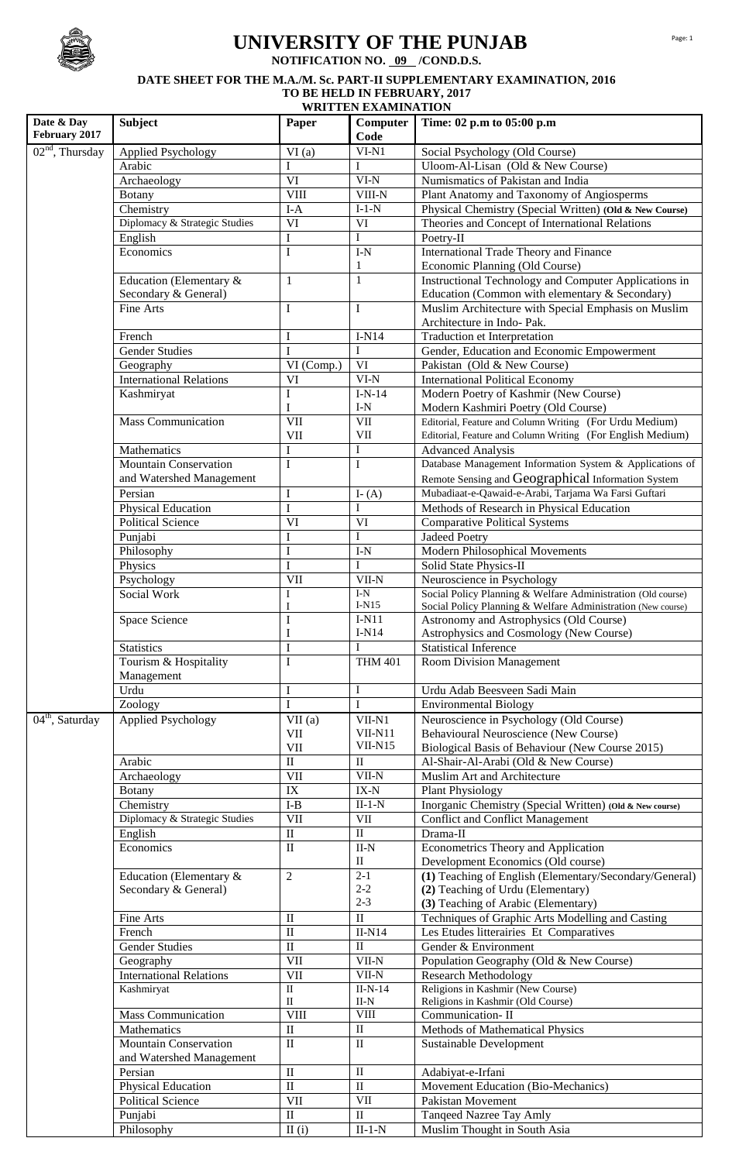

# **UNIVERSITY OF THE PUNJAB**

**NOTIFICATION NO. 09 /COND.D.S.**

## **DATE SHEET FOR THE M.A./M. Sc. PART-II SUPPLEMENTARY EXAMINATION, 2016 TO BE HELD IN FEBRUARY, 2017**

| <b>Subject</b><br>Time: 02 p.m to 05:00 p.m<br>Paper<br>Computer<br>February 2017<br>Code<br>$02nd$ , Thursday<br><b>Applied Psychology</b><br>$VI-N1$<br>VI(a)<br>Social Psychology (Old Course)<br>Arabic<br>Uloom-Al-Lisan (Old & New Course)<br>I<br>I<br>$\overline{\text{VI}}$<br>$VI-N$<br>Numismatics of Pakistan and India<br>Archaeology<br><b>VIII</b><br>VIII-N<br>Plant Anatomy and Taxonomy of Angiosperms<br><b>Botany</b><br>Chemistry<br>$I-A$<br>$I-1-N$<br>Physical Chemistry (Special Written) (Old & New Course)<br>Diplomacy & Strategic Studies<br>$\overline{\text{VI}}$<br>VI<br>Theories and Concept of International Relations<br>I<br>English<br>I<br>Poetry-II<br>Economics<br>$\mathbf I$<br>$\text{I-N}$<br>International Trade Theory and Finance<br>Economic Planning (Old Course)<br>1<br>Instructional Technology and Computer Applications in<br>Education (Elementary &<br>$\mathbf{1}$<br>$\mathbf{1}$<br>Secondary & General)<br>Education (Common with elementary & Secondary)<br>$\mathbf I$<br>$\mathbf I$<br>Muslim Architecture with Special Emphasis on Muslim<br>Fine Arts<br>Architecture in Indo- Pak.<br>$\bf I$<br>$I-N14$<br>French<br>Traduction et Interpretation<br>I<br><b>Gender Studies</b><br>I<br>Gender, Education and Economic Empowerment<br>$\rm{VI}$<br>VI (Comp.)<br>Pakistan (Old & New Course)<br>Geography<br><b>International Relations</b><br>$\overline{VI}$ -N<br>VI<br><b>International Political Economy</b><br>I<br>$I-N-14$<br>Modern Poetry of Kashmir (New Course)<br>Kashmiryat<br>$I-N$<br>I<br>Modern Kashmiri Poetry (Old Course)<br>$\overline{\text{VII}}$<br>$\overline{\text{VII}}$<br>Editorial, Feature and Column Writing (For Urdu Medium)<br><b>Mass Communication</b><br>VII<br>Editorial, Feature and Column Writing (For English Medium)<br>VII<br>Mathematics<br>I<br>I<br><b>Advanced Analysis</b><br>$\mathbf I$<br>Database Management Information System & Applications of<br>Mountain Conservation<br>$\bf{I}$<br>Remote Sensing and Geographical Information System<br>and Watershed Management<br>Mubadiaat-e-Qawaid-e-Arabi, Tarjama Wa Farsi Guftari<br>Persian<br>$\mathbf I$<br>I- $(A)$<br>$\bf I$<br>I<br>Methods of Research in Physical Education<br>Physical Education<br>VI<br>$\rm{VI}$<br><b>Political Science</b><br><b>Comparative Political Systems</b><br>$\bf I$<br>Punjabi<br>I<br><b>Jadeed Poetry</b><br>$\rm I$<br>Philosophy<br>$\text{I-N}$<br>Modern Philosophical Movements<br>$\mathbf I$<br>Physics<br>I<br>Solid State Physics-II<br>$\rm{VII}$<br>$VII-N$<br>Neuroscience in Psychology<br>Psychology<br>$\text{I-N}$<br>Social Policy Planning & Welfare Administration (Old course)<br>Social Work<br>I<br>$I-N15$<br>Social Policy Planning & Welfare Administration (New course)<br>1<br>$\bf I$<br>$I-N11$<br>Astronomy and Astrophysics (Old Course)<br>Space Science<br>$I-N14$<br>I<br>Astrophysics and Cosmology (New Course)<br><b>Statistics</b><br>$\mathbf I$<br><b>Statistical Inference</b><br>I<br>$\mathbf I$<br>Tourism & Hospitality<br><b>THM 401</b><br><b>Room Division Management</b><br>Management<br>$\bf I$<br>$\bf I$<br>Urdu<br>Urdu Adab Beesveen Sadi Main<br>$\overline{I}$<br>$\mathbf I$<br>Zoology<br><b>Environmental Biology</b><br>$04th$ , Saturday<br><b>Applied Psychology</b><br>VII(a)<br>VII-N1<br>Neuroscience in Psychology (Old Course)<br>VII-N11<br>VII<br>Behavioural Neuroscience (New Course)<br>$VII-N15$<br>$\rm{VII}$<br>Biological Basis of Behaviour (New Course 2015)<br>$\overline{\rm II}$<br>Arabic<br>$\rm II$<br>Al-Shair-Al-Arabi (Old & New Course)<br>VII<br>$VII-N$<br>Muslim Art and Architecture<br>Archaeology<br>$\overline{\text{IX}}$<br>$IX-N$<br><b>Plant Physiology</b><br>Botany<br>$I-B$<br>Inorganic Chemistry (Special Written) (Old & New course)<br>Chemistry<br>$II-1-N$<br>$\overline{\text{VII}}$<br>Diplomacy & Strategic Studies<br>VII<br><b>Conflict and Conflict Management</b><br>$\overline{\rm II}$<br>$\overline{\mathbf{I}}$<br>English<br>Drama-II<br>$\overline{\mathbf{u}}$<br>Economics<br>$_{\rm II-N}$<br>Econometrics Theory and Application<br>$\rm II$<br>Development Economics (Old course)<br>(1) Teaching of English (Elementary/Secondary/General)<br>Education (Elementary &<br>$\overline{c}$<br>$2 - 1$<br>$2-2$<br>(2) Teaching of Urdu (Elementary)<br>Secondary & General)<br>$2 - 3$<br>(3) Teaching of Arabic (Elementary)<br>$\rm II$<br>$\mathbf{I}$<br>Techniques of Graphic Arts Modelling and Casting<br>Fine Arts<br>$\rm II$<br>$II-N14$<br>French<br>Les Etudes litterairies Et Comparatives<br>$\rm II$<br><b>Gender Studies</b><br>$\rm II$<br>Gender & Environment<br>VII<br>$\overline{V}$ II-N<br>Population Geography (Old & New Course)<br>Geography<br>VII<br><b>International Relations</b><br>$VII-N$<br><b>Research Methodology</b><br>$\overline{\mathbf{u}}$<br>Religions in Kashmir (New Course)<br>$II-N-14$<br>Kashmiryat<br>Religions in Kashmir (Old Course)<br>$\rm _{II}$<br>$II-N$<br>$\overline{\text{VIII}}$<br>$\overline{\text{VIII}}$<br><b>Mass Communication</b><br>Communication-II<br>$\rm II$<br>Mathematics<br>$\rm II$<br>Methods of Mathematical Physics<br>$\rm II$<br>Mountain Conservation<br>$\rm II$<br>Sustainable Development<br>and Watershed Management<br>$\rm II$<br>$\;$ II<br>Persian<br>Adabiyat-e-Irfani<br>$\overline{\mathbf{H}}$<br>$\rm II$<br>Movement Education (Bio-Mechanics)<br>Physical Education<br>$\overline{\text{VII}}$<br>$\overline{\text{VII}}$<br><b>Political Science</b><br>Pakistan Movement<br>$\rm II$<br>$\rm II$<br>Punjabi<br>Tanqeed Nazree Tay Amly<br>Philosophy |            | <b>WRITTEN EXAMINATION</b> |       |          |                              |  |  |
|---------------------------------------------------------------------------------------------------------------------------------------------------------------------------------------------------------------------------------------------------------------------------------------------------------------------------------------------------------------------------------------------------------------------------------------------------------------------------------------------------------------------------------------------------------------------------------------------------------------------------------------------------------------------------------------------------------------------------------------------------------------------------------------------------------------------------------------------------------------------------------------------------------------------------------------------------------------------------------------------------------------------------------------------------------------------------------------------------------------------------------------------------------------------------------------------------------------------------------------------------------------------------------------------------------------------------------------------------------------------------------------------------------------------------------------------------------------------------------------------------------------------------------------------------------------------------------------------------------------------------------------------------------------------------------------------------------------------------------------------------------------------------------------------------------------------------------------------------------------------------------------------------------------------------------------------------------------------------------------------------------------------------------------------------------------------------------------------------------------------------------------------------------------------------------------------------------------------------------------------------------------------------------------------------------------------------------------------------------------------------------------------------------------------------------------------------------------------------------------------------------------------------------------------------------------------------------------------------------------------------------------------------------------------------------------------------------------------------------------------------------------------------------------------------------------------------------------------------------------------------------------------------------------------------------------------------------------------------------------------------------------------------------------------------------------------------------------------------------------------------------------------------------------------------------------------------------------------------------------------------------------------------------------------------------------------------------------------------------------------------------------------------------------------------------------------------------------------------------------------------------------------------------------------------------------------------------------------------------------------------------------------------------------------------------------------------------------------------------------------------------------------------------------------------------------------------------------------------------------------------------------------------------------------------------------------------------------------------------------------------------------------------------------------------------------------------------------------------------------------------------------------------------------------------------------------------------------------------------------------------------------------------------------------------------------------------------------------------------------------------------------------------------------------------------------------------------------------------------------------------------------------------------------------------------------------------------------------------------------------------------------------------------------------------------------------------------------------------------------------------------------------------------------------------------------------------------------------------------------------------------------------------------------------------------------------------------------------------------------------------------------------------------------------------------------------------------------------------------------------------------------------------------------------------------------------------------------------------------------------------------------------------------------------------------------------------------------------------------------------------------------------------------------------------------------------------------------------------------------------------------------------------------------------------------------------------------------------------------------------------------------------------------------------------------------------------------------|------------|----------------------------|-------|----------|------------------------------|--|--|
|                                                                                                                                                                                                                                                                                                                                                                                                                                                                                                                                                                                                                                                                                                                                                                                                                                                                                                                                                                                                                                                                                                                                                                                                                                                                                                                                                                                                                                                                                                                                                                                                                                                                                                                                                                                                                                                                                                                                                                                                                                                                                                                                                                                                                                                                                                                                                                                                                                                                                                                                                                                                                                                                                                                                                                                                                                                                                                                                                                                                                                                                                                                                                                                                                                                                                                                                                                                                                                                                                                                                                                                                                                                                                                                                                                                                                                                                                                                                                                                                                                                                                                                                                                                                                                                                                                                                                                                                                                                                                                                                                                                                                                                                                                                                                                                                                                                                                                                                                                                                                                                                                                                                                                                                                                                                                                                                                                                                                                                                                                                                                                                                                                                                                                               | Date & Day |                            |       |          |                              |  |  |
|                                                                                                                                                                                                                                                                                                                                                                                                                                                                                                                                                                                                                                                                                                                                                                                                                                                                                                                                                                                                                                                                                                                                                                                                                                                                                                                                                                                                                                                                                                                                                                                                                                                                                                                                                                                                                                                                                                                                                                                                                                                                                                                                                                                                                                                                                                                                                                                                                                                                                                                                                                                                                                                                                                                                                                                                                                                                                                                                                                                                                                                                                                                                                                                                                                                                                                                                                                                                                                                                                                                                                                                                                                                                                                                                                                                                                                                                                                                                                                                                                                                                                                                                                                                                                                                                                                                                                                                                                                                                                                                                                                                                                                                                                                                                                                                                                                                                                                                                                                                                                                                                                                                                                                                                                                                                                                                                                                                                                                                                                                                                                                                                                                                                                                               |            |                            |       |          |                              |  |  |
|                                                                                                                                                                                                                                                                                                                                                                                                                                                                                                                                                                                                                                                                                                                                                                                                                                                                                                                                                                                                                                                                                                                                                                                                                                                                                                                                                                                                                                                                                                                                                                                                                                                                                                                                                                                                                                                                                                                                                                                                                                                                                                                                                                                                                                                                                                                                                                                                                                                                                                                                                                                                                                                                                                                                                                                                                                                                                                                                                                                                                                                                                                                                                                                                                                                                                                                                                                                                                                                                                                                                                                                                                                                                                                                                                                                                                                                                                                                                                                                                                                                                                                                                                                                                                                                                                                                                                                                                                                                                                                                                                                                                                                                                                                                                                                                                                                                                                                                                                                                                                                                                                                                                                                                                                                                                                                                                                                                                                                                                                                                                                                                                                                                                                                               |            |                            |       |          |                              |  |  |
|                                                                                                                                                                                                                                                                                                                                                                                                                                                                                                                                                                                                                                                                                                                                                                                                                                                                                                                                                                                                                                                                                                                                                                                                                                                                                                                                                                                                                                                                                                                                                                                                                                                                                                                                                                                                                                                                                                                                                                                                                                                                                                                                                                                                                                                                                                                                                                                                                                                                                                                                                                                                                                                                                                                                                                                                                                                                                                                                                                                                                                                                                                                                                                                                                                                                                                                                                                                                                                                                                                                                                                                                                                                                                                                                                                                                                                                                                                                                                                                                                                                                                                                                                                                                                                                                                                                                                                                                                                                                                                                                                                                                                                                                                                                                                                                                                                                                                                                                                                                                                                                                                                                                                                                                                                                                                                                                                                                                                                                                                                                                                                                                                                                                                                               |            |                            |       |          |                              |  |  |
|                                                                                                                                                                                                                                                                                                                                                                                                                                                                                                                                                                                                                                                                                                                                                                                                                                                                                                                                                                                                                                                                                                                                                                                                                                                                                                                                                                                                                                                                                                                                                                                                                                                                                                                                                                                                                                                                                                                                                                                                                                                                                                                                                                                                                                                                                                                                                                                                                                                                                                                                                                                                                                                                                                                                                                                                                                                                                                                                                                                                                                                                                                                                                                                                                                                                                                                                                                                                                                                                                                                                                                                                                                                                                                                                                                                                                                                                                                                                                                                                                                                                                                                                                                                                                                                                                                                                                                                                                                                                                                                                                                                                                                                                                                                                                                                                                                                                                                                                                                                                                                                                                                                                                                                                                                                                                                                                                                                                                                                                                                                                                                                                                                                                                                               |            |                            |       |          |                              |  |  |
|                                                                                                                                                                                                                                                                                                                                                                                                                                                                                                                                                                                                                                                                                                                                                                                                                                                                                                                                                                                                                                                                                                                                                                                                                                                                                                                                                                                                                                                                                                                                                                                                                                                                                                                                                                                                                                                                                                                                                                                                                                                                                                                                                                                                                                                                                                                                                                                                                                                                                                                                                                                                                                                                                                                                                                                                                                                                                                                                                                                                                                                                                                                                                                                                                                                                                                                                                                                                                                                                                                                                                                                                                                                                                                                                                                                                                                                                                                                                                                                                                                                                                                                                                                                                                                                                                                                                                                                                                                                                                                                                                                                                                                                                                                                                                                                                                                                                                                                                                                                                                                                                                                                                                                                                                                                                                                                                                                                                                                                                                                                                                                                                                                                                                                               |            |                            |       |          |                              |  |  |
|                                                                                                                                                                                                                                                                                                                                                                                                                                                                                                                                                                                                                                                                                                                                                                                                                                                                                                                                                                                                                                                                                                                                                                                                                                                                                                                                                                                                                                                                                                                                                                                                                                                                                                                                                                                                                                                                                                                                                                                                                                                                                                                                                                                                                                                                                                                                                                                                                                                                                                                                                                                                                                                                                                                                                                                                                                                                                                                                                                                                                                                                                                                                                                                                                                                                                                                                                                                                                                                                                                                                                                                                                                                                                                                                                                                                                                                                                                                                                                                                                                                                                                                                                                                                                                                                                                                                                                                                                                                                                                                                                                                                                                                                                                                                                                                                                                                                                                                                                                                                                                                                                                                                                                                                                                                                                                                                                                                                                                                                                                                                                                                                                                                                                                               |            |                            |       |          |                              |  |  |
|                                                                                                                                                                                                                                                                                                                                                                                                                                                                                                                                                                                                                                                                                                                                                                                                                                                                                                                                                                                                                                                                                                                                                                                                                                                                                                                                                                                                                                                                                                                                                                                                                                                                                                                                                                                                                                                                                                                                                                                                                                                                                                                                                                                                                                                                                                                                                                                                                                                                                                                                                                                                                                                                                                                                                                                                                                                                                                                                                                                                                                                                                                                                                                                                                                                                                                                                                                                                                                                                                                                                                                                                                                                                                                                                                                                                                                                                                                                                                                                                                                                                                                                                                                                                                                                                                                                                                                                                                                                                                                                                                                                                                                                                                                                                                                                                                                                                                                                                                                                                                                                                                                                                                                                                                                                                                                                                                                                                                                                                                                                                                                                                                                                                                                               |            |                            |       |          |                              |  |  |
|                                                                                                                                                                                                                                                                                                                                                                                                                                                                                                                                                                                                                                                                                                                                                                                                                                                                                                                                                                                                                                                                                                                                                                                                                                                                                                                                                                                                                                                                                                                                                                                                                                                                                                                                                                                                                                                                                                                                                                                                                                                                                                                                                                                                                                                                                                                                                                                                                                                                                                                                                                                                                                                                                                                                                                                                                                                                                                                                                                                                                                                                                                                                                                                                                                                                                                                                                                                                                                                                                                                                                                                                                                                                                                                                                                                                                                                                                                                                                                                                                                                                                                                                                                                                                                                                                                                                                                                                                                                                                                                                                                                                                                                                                                                                                                                                                                                                                                                                                                                                                                                                                                                                                                                                                                                                                                                                                                                                                                                                                                                                                                                                                                                                                                               |            |                            |       |          |                              |  |  |
|                                                                                                                                                                                                                                                                                                                                                                                                                                                                                                                                                                                                                                                                                                                                                                                                                                                                                                                                                                                                                                                                                                                                                                                                                                                                                                                                                                                                                                                                                                                                                                                                                                                                                                                                                                                                                                                                                                                                                                                                                                                                                                                                                                                                                                                                                                                                                                                                                                                                                                                                                                                                                                                                                                                                                                                                                                                                                                                                                                                                                                                                                                                                                                                                                                                                                                                                                                                                                                                                                                                                                                                                                                                                                                                                                                                                                                                                                                                                                                                                                                                                                                                                                                                                                                                                                                                                                                                                                                                                                                                                                                                                                                                                                                                                                                                                                                                                                                                                                                                                                                                                                                                                                                                                                                                                                                                                                                                                                                                                                                                                                                                                                                                                                                               |            |                            |       |          |                              |  |  |
|                                                                                                                                                                                                                                                                                                                                                                                                                                                                                                                                                                                                                                                                                                                                                                                                                                                                                                                                                                                                                                                                                                                                                                                                                                                                                                                                                                                                                                                                                                                                                                                                                                                                                                                                                                                                                                                                                                                                                                                                                                                                                                                                                                                                                                                                                                                                                                                                                                                                                                                                                                                                                                                                                                                                                                                                                                                                                                                                                                                                                                                                                                                                                                                                                                                                                                                                                                                                                                                                                                                                                                                                                                                                                                                                                                                                                                                                                                                                                                                                                                                                                                                                                                                                                                                                                                                                                                                                                                                                                                                                                                                                                                                                                                                                                                                                                                                                                                                                                                                                                                                                                                                                                                                                                                                                                                                                                                                                                                                                                                                                                                                                                                                                                                               |            |                            |       |          |                              |  |  |
|                                                                                                                                                                                                                                                                                                                                                                                                                                                                                                                                                                                                                                                                                                                                                                                                                                                                                                                                                                                                                                                                                                                                                                                                                                                                                                                                                                                                                                                                                                                                                                                                                                                                                                                                                                                                                                                                                                                                                                                                                                                                                                                                                                                                                                                                                                                                                                                                                                                                                                                                                                                                                                                                                                                                                                                                                                                                                                                                                                                                                                                                                                                                                                                                                                                                                                                                                                                                                                                                                                                                                                                                                                                                                                                                                                                                                                                                                                                                                                                                                                                                                                                                                                                                                                                                                                                                                                                                                                                                                                                                                                                                                                                                                                                                                                                                                                                                                                                                                                                                                                                                                                                                                                                                                                                                                                                                                                                                                                                                                                                                                                                                                                                                                                               |            |                            |       |          |                              |  |  |
|                                                                                                                                                                                                                                                                                                                                                                                                                                                                                                                                                                                                                                                                                                                                                                                                                                                                                                                                                                                                                                                                                                                                                                                                                                                                                                                                                                                                                                                                                                                                                                                                                                                                                                                                                                                                                                                                                                                                                                                                                                                                                                                                                                                                                                                                                                                                                                                                                                                                                                                                                                                                                                                                                                                                                                                                                                                                                                                                                                                                                                                                                                                                                                                                                                                                                                                                                                                                                                                                                                                                                                                                                                                                                                                                                                                                                                                                                                                                                                                                                                                                                                                                                                                                                                                                                                                                                                                                                                                                                                                                                                                                                                                                                                                                                                                                                                                                                                                                                                                                                                                                                                                                                                                                                                                                                                                                                                                                                                                                                                                                                                                                                                                                                                               |            |                            |       |          |                              |  |  |
|                                                                                                                                                                                                                                                                                                                                                                                                                                                                                                                                                                                                                                                                                                                                                                                                                                                                                                                                                                                                                                                                                                                                                                                                                                                                                                                                                                                                                                                                                                                                                                                                                                                                                                                                                                                                                                                                                                                                                                                                                                                                                                                                                                                                                                                                                                                                                                                                                                                                                                                                                                                                                                                                                                                                                                                                                                                                                                                                                                                                                                                                                                                                                                                                                                                                                                                                                                                                                                                                                                                                                                                                                                                                                                                                                                                                                                                                                                                                                                                                                                                                                                                                                                                                                                                                                                                                                                                                                                                                                                                                                                                                                                                                                                                                                                                                                                                                                                                                                                                                                                                                                                                                                                                                                                                                                                                                                                                                                                                                                                                                                                                                                                                                                                               |            |                            |       |          |                              |  |  |
|                                                                                                                                                                                                                                                                                                                                                                                                                                                                                                                                                                                                                                                                                                                                                                                                                                                                                                                                                                                                                                                                                                                                                                                                                                                                                                                                                                                                                                                                                                                                                                                                                                                                                                                                                                                                                                                                                                                                                                                                                                                                                                                                                                                                                                                                                                                                                                                                                                                                                                                                                                                                                                                                                                                                                                                                                                                                                                                                                                                                                                                                                                                                                                                                                                                                                                                                                                                                                                                                                                                                                                                                                                                                                                                                                                                                                                                                                                                                                                                                                                                                                                                                                                                                                                                                                                                                                                                                                                                                                                                                                                                                                                                                                                                                                                                                                                                                                                                                                                                                                                                                                                                                                                                                                                                                                                                                                                                                                                                                                                                                                                                                                                                                                                               |            |                            |       |          |                              |  |  |
|                                                                                                                                                                                                                                                                                                                                                                                                                                                                                                                                                                                                                                                                                                                                                                                                                                                                                                                                                                                                                                                                                                                                                                                                                                                                                                                                                                                                                                                                                                                                                                                                                                                                                                                                                                                                                                                                                                                                                                                                                                                                                                                                                                                                                                                                                                                                                                                                                                                                                                                                                                                                                                                                                                                                                                                                                                                                                                                                                                                                                                                                                                                                                                                                                                                                                                                                                                                                                                                                                                                                                                                                                                                                                                                                                                                                                                                                                                                                                                                                                                                                                                                                                                                                                                                                                                                                                                                                                                                                                                                                                                                                                                                                                                                                                                                                                                                                                                                                                                                                                                                                                                                                                                                                                                                                                                                                                                                                                                                                                                                                                                                                                                                                                                               |            |                            |       |          |                              |  |  |
|                                                                                                                                                                                                                                                                                                                                                                                                                                                                                                                                                                                                                                                                                                                                                                                                                                                                                                                                                                                                                                                                                                                                                                                                                                                                                                                                                                                                                                                                                                                                                                                                                                                                                                                                                                                                                                                                                                                                                                                                                                                                                                                                                                                                                                                                                                                                                                                                                                                                                                                                                                                                                                                                                                                                                                                                                                                                                                                                                                                                                                                                                                                                                                                                                                                                                                                                                                                                                                                                                                                                                                                                                                                                                                                                                                                                                                                                                                                                                                                                                                                                                                                                                                                                                                                                                                                                                                                                                                                                                                                                                                                                                                                                                                                                                                                                                                                                                                                                                                                                                                                                                                                                                                                                                                                                                                                                                                                                                                                                                                                                                                                                                                                                                                               |            |                            |       |          |                              |  |  |
|                                                                                                                                                                                                                                                                                                                                                                                                                                                                                                                                                                                                                                                                                                                                                                                                                                                                                                                                                                                                                                                                                                                                                                                                                                                                                                                                                                                                                                                                                                                                                                                                                                                                                                                                                                                                                                                                                                                                                                                                                                                                                                                                                                                                                                                                                                                                                                                                                                                                                                                                                                                                                                                                                                                                                                                                                                                                                                                                                                                                                                                                                                                                                                                                                                                                                                                                                                                                                                                                                                                                                                                                                                                                                                                                                                                                                                                                                                                                                                                                                                                                                                                                                                                                                                                                                                                                                                                                                                                                                                                                                                                                                                                                                                                                                                                                                                                                                                                                                                                                                                                                                                                                                                                                                                                                                                                                                                                                                                                                                                                                                                                                                                                                                                               |            |                            |       |          |                              |  |  |
|                                                                                                                                                                                                                                                                                                                                                                                                                                                                                                                                                                                                                                                                                                                                                                                                                                                                                                                                                                                                                                                                                                                                                                                                                                                                                                                                                                                                                                                                                                                                                                                                                                                                                                                                                                                                                                                                                                                                                                                                                                                                                                                                                                                                                                                                                                                                                                                                                                                                                                                                                                                                                                                                                                                                                                                                                                                                                                                                                                                                                                                                                                                                                                                                                                                                                                                                                                                                                                                                                                                                                                                                                                                                                                                                                                                                                                                                                                                                                                                                                                                                                                                                                                                                                                                                                                                                                                                                                                                                                                                                                                                                                                                                                                                                                                                                                                                                                                                                                                                                                                                                                                                                                                                                                                                                                                                                                                                                                                                                                                                                                                                                                                                                                                               |            |                            |       |          |                              |  |  |
|                                                                                                                                                                                                                                                                                                                                                                                                                                                                                                                                                                                                                                                                                                                                                                                                                                                                                                                                                                                                                                                                                                                                                                                                                                                                                                                                                                                                                                                                                                                                                                                                                                                                                                                                                                                                                                                                                                                                                                                                                                                                                                                                                                                                                                                                                                                                                                                                                                                                                                                                                                                                                                                                                                                                                                                                                                                                                                                                                                                                                                                                                                                                                                                                                                                                                                                                                                                                                                                                                                                                                                                                                                                                                                                                                                                                                                                                                                                                                                                                                                                                                                                                                                                                                                                                                                                                                                                                                                                                                                                                                                                                                                                                                                                                                                                                                                                                                                                                                                                                                                                                                                                                                                                                                                                                                                                                                                                                                                                                                                                                                                                                                                                                                                               |            |                            |       |          |                              |  |  |
|                                                                                                                                                                                                                                                                                                                                                                                                                                                                                                                                                                                                                                                                                                                                                                                                                                                                                                                                                                                                                                                                                                                                                                                                                                                                                                                                                                                                                                                                                                                                                                                                                                                                                                                                                                                                                                                                                                                                                                                                                                                                                                                                                                                                                                                                                                                                                                                                                                                                                                                                                                                                                                                                                                                                                                                                                                                                                                                                                                                                                                                                                                                                                                                                                                                                                                                                                                                                                                                                                                                                                                                                                                                                                                                                                                                                                                                                                                                                                                                                                                                                                                                                                                                                                                                                                                                                                                                                                                                                                                                                                                                                                                                                                                                                                                                                                                                                                                                                                                                                                                                                                                                                                                                                                                                                                                                                                                                                                                                                                                                                                                                                                                                                                                               |            |                            |       |          |                              |  |  |
|                                                                                                                                                                                                                                                                                                                                                                                                                                                                                                                                                                                                                                                                                                                                                                                                                                                                                                                                                                                                                                                                                                                                                                                                                                                                                                                                                                                                                                                                                                                                                                                                                                                                                                                                                                                                                                                                                                                                                                                                                                                                                                                                                                                                                                                                                                                                                                                                                                                                                                                                                                                                                                                                                                                                                                                                                                                                                                                                                                                                                                                                                                                                                                                                                                                                                                                                                                                                                                                                                                                                                                                                                                                                                                                                                                                                                                                                                                                                                                                                                                                                                                                                                                                                                                                                                                                                                                                                                                                                                                                                                                                                                                                                                                                                                                                                                                                                                                                                                                                                                                                                                                                                                                                                                                                                                                                                                                                                                                                                                                                                                                                                                                                                                                               |            |                            |       |          |                              |  |  |
|                                                                                                                                                                                                                                                                                                                                                                                                                                                                                                                                                                                                                                                                                                                                                                                                                                                                                                                                                                                                                                                                                                                                                                                                                                                                                                                                                                                                                                                                                                                                                                                                                                                                                                                                                                                                                                                                                                                                                                                                                                                                                                                                                                                                                                                                                                                                                                                                                                                                                                                                                                                                                                                                                                                                                                                                                                                                                                                                                                                                                                                                                                                                                                                                                                                                                                                                                                                                                                                                                                                                                                                                                                                                                                                                                                                                                                                                                                                                                                                                                                                                                                                                                                                                                                                                                                                                                                                                                                                                                                                                                                                                                                                                                                                                                                                                                                                                                                                                                                                                                                                                                                                                                                                                                                                                                                                                                                                                                                                                                                                                                                                                                                                                                                               |            |                            |       |          |                              |  |  |
|                                                                                                                                                                                                                                                                                                                                                                                                                                                                                                                                                                                                                                                                                                                                                                                                                                                                                                                                                                                                                                                                                                                                                                                                                                                                                                                                                                                                                                                                                                                                                                                                                                                                                                                                                                                                                                                                                                                                                                                                                                                                                                                                                                                                                                                                                                                                                                                                                                                                                                                                                                                                                                                                                                                                                                                                                                                                                                                                                                                                                                                                                                                                                                                                                                                                                                                                                                                                                                                                                                                                                                                                                                                                                                                                                                                                                                                                                                                                                                                                                                                                                                                                                                                                                                                                                                                                                                                                                                                                                                                                                                                                                                                                                                                                                                                                                                                                                                                                                                                                                                                                                                                                                                                                                                                                                                                                                                                                                                                                                                                                                                                                                                                                                                               |            |                            |       |          |                              |  |  |
|                                                                                                                                                                                                                                                                                                                                                                                                                                                                                                                                                                                                                                                                                                                                                                                                                                                                                                                                                                                                                                                                                                                                                                                                                                                                                                                                                                                                                                                                                                                                                                                                                                                                                                                                                                                                                                                                                                                                                                                                                                                                                                                                                                                                                                                                                                                                                                                                                                                                                                                                                                                                                                                                                                                                                                                                                                                                                                                                                                                                                                                                                                                                                                                                                                                                                                                                                                                                                                                                                                                                                                                                                                                                                                                                                                                                                                                                                                                                                                                                                                                                                                                                                                                                                                                                                                                                                                                                                                                                                                                                                                                                                                                                                                                                                                                                                                                                                                                                                                                                                                                                                                                                                                                                                                                                                                                                                                                                                                                                                                                                                                                                                                                                                                               |            |                            |       |          |                              |  |  |
|                                                                                                                                                                                                                                                                                                                                                                                                                                                                                                                                                                                                                                                                                                                                                                                                                                                                                                                                                                                                                                                                                                                                                                                                                                                                                                                                                                                                                                                                                                                                                                                                                                                                                                                                                                                                                                                                                                                                                                                                                                                                                                                                                                                                                                                                                                                                                                                                                                                                                                                                                                                                                                                                                                                                                                                                                                                                                                                                                                                                                                                                                                                                                                                                                                                                                                                                                                                                                                                                                                                                                                                                                                                                                                                                                                                                                                                                                                                                                                                                                                                                                                                                                                                                                                                                                                                                                                                                                                                                                                                                                                                                                                                                                                                                                                                                                                                                                                                                                                                                                                                                                                                                                                                                                                                                                                                                                                                                                                                                                                                                                                                                                                                                                                               |            |                            |       |          |                              |  |  |
|                                                                                                                                                                                                                                                                                                                                                                                                                                                                                                                                                                                                                                                                                                                                                                                                                                                                                                                                                                                                                                                                                                                                                                                                                                                                                                                                                                                                                                                                                                                                                                                                                                                                                                                                                                                                                                                                                                                                                                                                                                                                                                                                                                                                                                                                                                                                                                                                                                                                                                                                                                                                                                                                                                                                                                                                                                                                                                                                                                                                                                                                                                                                                                                                                                                                                                                                                                                                                                                                                                                                                                                                                                                                                                                                                                                                                                                                                                                                                                                                                                                                                                                                                                                                                                                                                                                                                                                                                                                                                                                                                                                                                                                                                                                                                                                                                                                                                                                                                                                                                                                                                                                                                                                                                                                                                                                                                                                                                                                                                                                                                                                                                                                                                                               |            |                            |       |          |                              |  |  |
|                                                                                                                                                                                                                                                                                                                                                                                                                                                                                                                                                                                                                                                                                                                                                                                                                                                                                                                                                                                                                                                                                                                                                                                                                                                                                                                                                                                                                                                                                                                                                                                                                                                                                                                                                                                                                                                                                                                                                                                                                                                                                                                                                                                                                                                                                                                                                                                                                                                                                                                                                                                                                                                                                                                                                                                                                                                                                                                                                                                                                                                                                                                                                                                                                                                                                                                                                                                                                                                                                                                                                                                                                                                                                                                                                                                                                                                                                                                                                                                                                                                                                                                                                                                                                                                                                                                                                                                                                                                                                                                                                                                                                                                                                                                                                                                                                                                                                                                                                                                                                                                                                                                                                                                                                                                                                                                                                                                                                                                                                                                                                                                                                                                                                                               |            |                            |       |          |                              |  |  |
|                                                                                                                                                                                                                                                                                                                                                                                                                                                                                                                                                                                                                                                                                                                                                                                                                                                                                                                                                                                                                                                                                                                                                                                                                                                                                                                                                                                                                                                                                                                                                                                                                                                                                                                                                                                                                                                                                                                                                                                                                                                                                                                                                                                                                                                                                                                                                                                                                                                                                                                                                                                                                                                                                                                                                                                                                                                                                                                                                                                                                                                                                                                                                                                                                                                                                                                                                                                                                                                                                                                                                                                                                                                                                                                                                                                                                                                                                                                                                                                                                                                                                                                                                                                                                                                                                                                                                                                                                                                                                                                                                                                                                                                                                                                                                                                                                                                                                                                                                                                                                                                                                                                                                                                                                                                                                                                                                                                                                                                                                                                                                                                                                                                                                                               |            |                            |       |          |                              |  |  |
|                                                                                                                                                                                                                                                                                                                                                                                                                                                                                                                                                                                                                                                                                                                                                                                                                                                                                                                                                                                                                                                                                                                                                                                                                                                                                                                                                                                                                                                                                                                                                                                                                                                                                                                                                                                                                                                                                                                                                                                                                                                                                                                                                                                                                                                                                                                                                                                                                                                                                                                                                                                                                                                                                                                                                                                                                                                                                                                                                                                                                                                                                                                                                                                                                                                                                                                                                                                                                                                                                                                                                                                                                                                                                                                                                                                                                                                                                                                                                                                                                                                                                                                                                                                                                                                                                                                                                                                                                                                                                                                                                                                                                                                                                                                                                                                                                                                                                                                                                                                                                                                                                                                                                                                                                                                                                                                                                                                                                                                                                                                                                                                                                                                                                                               |            |                            |       |          |                              |  |  |
|                                                                                                                                                                                                                                                                                                                                                                                                                                                                                                                                                                                                                                                                                                                                                                                                                                                                                                                                                                                                                                                                                                                                                                                                                                                                                                                                                                                                                                                                                                                                                                                                                                                                                                                                                                                                                                                                                                                                                                                                                                                                                                                                                                                                                                                                                                                                                                                                                                                                                                                                                                                                                                                                                                                                                                                                                                                                                                                                                                                                                                                                                                                                                                                                                                                                                                                                                                                                                                                                                                                                                                                                                                                                                                                                                                                                                                                                                                                                                                                                                                                                                                                                                                                                                                                                                                                                                                                                                                                                                                                                                                                                                                                                                                                                                                                                                                                                                                                                                                                                                                                                                                                                                                                                                                                                                                                                                                                                                                                                                                                                                                                                                                                                                                               |            |                            |       |          |                              |  |  |
|                                                                                                                                                                                                                                                                                                                                                                                                                                                                                                                                                                                                                                                                                                                                                                                                                                                                                                                                                                                                                                                                                                                                                                                                                                                                                                                                                                                                                                                                                                                                                                                                                                                                                                                                                                                                                                                                                                                                                                                                                                                                                                                                                                                                                                                                                                                                                                                                                                                                                                                                                                                                                                                                                                                                                                                                                                                                                                                                                                                                                                                                                                                                                                                                                                                                                                                                                                                                                                                                                                                                                                                                                                                                                                                                                                                                                                                                                                                                                                                                                                                                                                                                                                                                                                                                                                                                                                                                                                                                                                                                                                                                                                                                                                                                                                                                                                                                                                                                                                                                                                                                                                                                                                                                                                                                                                                                                                                                                                                                                                                                                                                                                                                                                                               |            |                            |       |          |                              |  |  |
|                                                                                                                                                                                                                                                                                                                                                                                                                                                                                                                                                                                                                                                                                                                                                                                                                                                                                                                                                                                                                                                                                                                                                                                                                                                                                                                                                                                                                                                                                                                                                                                                                                                                                                                                                                                                                                                                                                                                                                                                                                                                                                                                                                                                                                                                                                                                                                                                                                                                                                                                                                                                                                                                                                                                                                                                                                                                                                                                                                                                                                                                                                                                                                                                                                                                                                                                                                                                                                                                                                                                                                                                                                                                                                                                                                                                                                                                                                                                                                                                                                                                                                                                                                                                                                                                                                                                                                                                                                                                                                                                                                                                                                                                                                                                                                                                                                                                                                                                                                                                                                                                                                                                                                                                                                                                                                                                                                                                                                                                                                                                                                                                                                                                                                               |            |                            |       |          |                              |  |  |
|                                                                                                                                                                                                                                                                                                                                                                                                                                                                                                                                                                                                                                                                                                                                                                                                                                                                                                                                                                                                                                                                                                                                                                                                                                                                                                                                                                                                                                                                                                                                                                                                                                                                                                                                                                                                                                                                                                                                                                                                                                                                                                                                                                                                                                                                                                                                                                                                                                                                                                                                                                                                                                                                                                                                                                                                                                                                                                                                                                                                                                                                                                                                                                                                                                                                                                                                                                                                                                                                                                                                                                                                                                                                                                                                                                                                                                                                                                                                                                                                                                                                                                                                                                                                                                                                                                                                                                                                                                                                                                                                                                                                                                                                                                                                                                                                                                                                                                                                                                                                                                                                                                                                                                                                                                                                                                                                                                                                                                                                                                                                                                                                                                                                                                               |            |                            |       |          |                              |  |  |
|                                                                                                                                                                                                                                                                                                                                                                                                                                                                                                                                                                                                                                                                                                                                                                                                                                                                                                                                                                                                                                                                                                                                                                                                                                                                                                                                                                                                                                                                                                                                                                                                                                                                                                                                                                                                                                                                                                                                                                                                                                                                                                                                                                                                                                                                                                                                                                                                                                                                                                                                                                                                                                                                                                                                                                                                                                                                                                                                                                                                                                                                                                                                                                                                                                                                                                                                                                                                                                                                                                                                                                                                                                                                                                                                                                                                                                                                                                                                                                                                                                                                                                                                                                                                                                                                                                                                                                                                                                                                                                                                                                                                                                                                                                                                                                                                                                                                                                                                                                                                                                                                                                                                                                                                                                                                                                                                                                                                                                                                                                                                                                                                                                                                                                               |            |                            |       |          |                              |  |  |
|                                                                                                                                                                                                                                                                                                                                                                                                                                                                                                                                                                                                                                                                                                                                                                                                                                                                                                                                                                                                                                                                                                                                                                                                                                                                                                                                                                                                                                                                                                                                                                                                                                                                                                                                                                                                                                                                                                                                                                                                                                                                                                                                                                                                                                                                                                                                                                                                                                                                                                                                                                                                                                                                                                                                                                                                                                                                                                                                                                                                                                                                                                                                                                                                                                                                                                                                                                                                                                                                                                                                                                                                                                                                                                                                                                                                                                                                                                                                                                                                                                                                                                                                                                                                                                                                                                                                                                                                                                                                                                                                                                                                                                                                                                                                                                                                                                                                                                                                                                                                                                                                                                                                                                                                                                                                                                                                                                                                                                                                                                                                                                                                                                                                                                               |            |                            |       |          |                              |  |  |
|                                                                                                                                                                                                                                                                                                                                                                                                                                                                                                                                                                                                                                                                                                                                                                                                                                                                                                                                                                                                                                                                                                                                                                                                                                                                                                                                                                                                                                                                                                                                                                                                                                                                                                                                                                                                                                                                                                                                                                                                                                                                                                                                                                                                                                                                                                                                                                                                                                                                                                                                                                                                                                                                                                                                                                                                                                                                                                                                                                                                                                                                                                                                                                                                                                                                                                                                                                                                                                                                                                                                                                                                                                                                                                                                                                                                                                                                                                                                                                                                                                                                                                                                                                                                                                                                                                                                                                                                                                                                                                                                                                                                                                                                                                                                                                                                                                                                                                                                                                                                                                                                                                                                                                                                                                                                                                                                                                                                                                                                                                                                                                                                                                                                                                               |            |                            |       |          |                              |  |  |
|                                                                                                                                                                                                                                                                                                                                                                                                                                                                                                                                                                                                                                                                                                                                                                                                                                                                                                                                                                                                                                                                                                                                                                                                                                                                                                                                                                                                                                                                                                                                                                                                                                                                                                                                                                                                                                                                                                                                                                                                                                                                                                                                                                                                                                                                                                                                                                                                                                                                                                                                                                                                                                                                                                                                                                                                                                                                                                                                                                                                                                                                                                                                                                                                                                                                                                                                                                                                                                                                                                                                                                                                                                                                                                                                                                                                                                                                                                                                                                                                                                                                                                                                                                                                                                                                                                                                                                                                                                                                                                                                                                                                                                                                                                                                                                                                                                                                                                                                                                                                                                                                                                                                                                                                                                                                                                                                                                                                                                                                                                                                                                                                                                                                                                               |            |                            |       |          |                              |  |  |
|                                                                                                                                                                                                                                                                                                                                                                                                                                                                                                                                                                                                                                                                                                                                                                                                                                                                                                                                                                                                                                                                                                                                                                                                                                                                                                                                                                                                                                                                                                                                                                                                                                                                                                                                                                                                                                                                                                                                                                                                                                                                                                                                                                                                                                                                                                                                                                                                                                                                                                                                                                                                                                                                                                                                                                                                                                                                                                                                                                                                                                                                                                                                                                                                                                                                                                                                                                                                                                                                                                                                                                                                                                                                                                                                                                                                                                                                                                                                                                                                                                                                                                                                                                                                                                                                                                                                                                                                                                                                                                                                                                                                                                                                                                                                                                                                                                                                                                                                                                                                                                                                                                                                                                                                                                                                                                                                                                                                                                                                                                                                                                                                                                                                                                               |            |                            |       |          |                              |  |  |
|                                                                                                                                                                                                                                                                                                                                                                                                                                                                                                                                                                                                                                                                                                                                                                                                                                                                                                                                                                                                                                                                                                                                                                                                                                                                                                                                                                                                                                                                                                                                                                                                                                                                                                                                                                                                                                                                                                                                                                                                                                                                                                                                                                                                                                                                                                                                                                                                                                                                                                                                                                                                                                                                                                                                                                                                                                                                                                                                                                                                                                                                                                                                                                                                                                                                                                                                                                                                                                                                                                                                                                                                                                                                                                                                                                                                                                                                                                                                                                                                                                                                                                                                                                                                                                                                                                                                                                                                                                                                                                                                                                                                                                                                                                                                                                                                                                                                                                                                                                                                                                                                                                                                                                                                                                                                                                                                                                                                                                                                                                                                                                                                                                                                                                               |            |                            |       |          |                              |  |  |
|                                                                                                                                                                                                                                                                                                                                                                                                                                                                                                                                                                                                                                                                                                                                                                                                                                                                                                                                                                                                                                                                                                                                                                                                                                                                                                                                                                                                                                                                                                                                                                                                                                                                                                                                                                                                                                                                                                                                                                                                                                                                                                                                                                                                                                                                                                                                                                                                                                                                                                                                                                                                                                                                                                                                                                                                                                                                                                                                                                                                                                                                                                                                                                                                                                                                                                                                                                                                                                                                                                                                                                                                                                                                                                                                                                                                                                                                                                                                                                                                                                                                                                                                                                                                                                                                                                                                                                                                                                                                                                                                                                                                                                                                                                                                                                                                                                                                                                                                                                                                                                                                                                                                                                                                                                                                                                                                                                                                                                                                                                                                                                                                                                                                                                               |            |                            |       |          |                              |  |  |
|                                                                                                                                                                                                                                                                                                                                                                                                                                                                                                                                                                                                                                                                                                                                                                                                                                                                                                                                                                                                                                                                                                                                                                                                                                                                                                                                                                                                                                                                                                                                                                                                                                                                                                                                                                                                                                                                                                                                                                                                                                                                                                                                                                                                                                                                                                                                                                                                                                                                                                                                                                                                                                                                                                                                                                                                                                                                                                                                                                                                                                                                                                                                                                                                                                                                                                                                                                                                                                                                                                                                                                                                                                                                                                                                                                                                                                                                                                                                                                                                                                                                                                                                                                                                                                                                                                                                                                                                                                                                                                                                                                                                                                                                                                                                                                                                                                                                                                                                                                                                                                                                                                                                                                                                                                                                                                                                                                                                                                                                                                                                                                                                                                                                                                               |            |                            |       |          |                              |  |  |
|                                                                                                                                                                                                                                                                                                                                                                                                                                                                                                                                                                                                                                                                                                                                                                                                                                                                                                                                                                                                                                                                                                                                                                                                                                                                                                                                                                                                                                                                                                                                                                                                                                                                                                                                                                                                                                                                                                                                                                                                                                                                                                                                                                                                                                                                                                                                                                                                                                                                                                                                                                                                                                                                                                                                                                                                                                                                                                                                                                                                                                                                                                                                                                                                                                                                                                                                                                                                                                                                                                                                                                                                                                                                                                                                                                                                                                                                                                                                                                                                                                                                                                                                                                                                                                                                                                                                                                                                                                                                                                                                                                                                                                                                                                                                                                                                                                                                                                                                                                                                                                                                                                                                                                                                                                                                                                                                                                                                                                                                                                                                                                                                                                                                                                               |            |                            |       |          |                              |  |  |
|                                                                                                                                                                                                                                                                                                                                                                                                                                                                                                                                                                                                                                                                                                                                                                                                                                                                                                                                                                                                                                                                                                                                                                                                                                                                                                                                                                                                                                                                                                                                                                                                                                                                                                                                                                                                                                                                                                                                                                                                                                                                                                                                                                                                                                                                                                                                                                                                                                                                                                                                                                                                                                                                                                                                                                                                                                                                                                                                                                                                                                                                                                                                                                                                                                                                                                                                                                                                                                                                                                                                                                                                                                                                                                                                                                                                                                                                                                                                                                                                                                                                                                                                                                                                                                                                                                                                                                                                                                                                                                                                                                                                                                                                                                                                                                                                                                                                                                                                                                                                                                                                                                                                                                                                                                                                                                                                                                                                                                                                                                                                                                                                                                                                                                               |            |                            |       |          |                              |  |  |
|                                                                                                                                                                                                                                                                                                                                                                                                                                                                                                                                                                                                                                                                                                                                                                                                                                                                                                                                                                                                                                                                                                                                                                                                                                                                                                                                                                                                                                                                                                                                                                                                                                                                                                                                                                                                                                                                                                                                                                                                                                                                                                                                                                                                                                                                                                                                                                                                                                                                                                                                                                                                                                                                                                                                                                                                                                                                                                                                                                                                                                                                                                                                                                                                                                                                                                                                                                                                                                                                                                                                                                                                                                                                                                                                                                                                                                                                                                                                                                                                                                                                                                                                                                                                                                                                                                                                                                                                                                                                                                                                                                                                                                                                                                                                                                                                                                                                                                                                                                                                                                                                                                                                                                                                                                                                                                                                                                                                                                                                                                                                                                                                                                                                                                               |            |                            |       |          |                              |  |  |
|                                                                                                                                                                                                                                                                                                                                                                                                                                                                                                                                                                                                                                                                                                                                                                                                                                                                                                                                                                                                                                                                                                                                                                                                                                                                                                                                                                                                                                                                                                                                                                                                                                                                                                                                                                                                                                                                                                                                                                                                                                                                                                                                                                                                                                                                                                                                                                                                                                                                                                                                                                                                                                                                                                                                                                                                                                                                                                                                                                                                                                                                                                                                                                                                                                                                                                                                                                                                                                                                                                                                                                                                                                                                                                                                                                                                                                                                                                                                                                                                                                                                                                                                                                                                                                                                                                                                                                                                                                                                                                                                                                                                                                                                                                                                                                                                                                                                                                                                                                                                                                                                                                                                                                                                                                                                                                                                                                                                                                                                                                                                                                                                                                                                                                               |            |                            |       |          |                              |  |  |
|                                                                                                                                                                                                                                                                                                                                                                                                                                                                                                                                                                                                                                                                                                                                                                                                                                                                                                                                                                                                                                                                                                                                                                                                                                                                                                                                                                                                                                                                                                                                                                                                                                                                                                                                                                                                                                                                                                                                                                                                                                                                                                                                                                                                                                                                                                                                                                                                                                                                                                                                                                                                                                                                                                                                                                                                                                                                                                                                                                                                                                                                                                                                                                                                                                                                                                                                                                                                                                                                                                                                                                                                                                                                                                                                                                                                                                                                                                                                                                                                                                                                                                                                                                                                                                                                                                                                                                                                                                                                                                                                                                                                                                                                                                                                                                                                                                                                                                                                                                                                                                                                                                                                                                                                                                                                                                                                                                                                                                                                                                                                                                                                                                                                                                               |            |                            |       |          |                              |  |  |
|                                                                                                                                                                                                                                                                                                                                                                                                                                                                                                                                                                                                                                                                                                                                                                                                                                                                                                                                                                                                                                                                                                                                                                                                                                                                                                                                                                                                                                                                                                                                                                                                                                                                                                                                                                                                                                                                                                                                                                                                                                                                                                                                                                                                                                                                                                                                                                                                                                                                                                                                                                                                                                                                                                                                                                                                                                                                                                                                                                                                                                                                                                                                                                                                                                                                                                                                                                                                                                                                                                                                                                                                                                                                                                                                                                                                                                                                                                                                                                                                                                                                                                                                                                                                                                                                                                                                                                                                                                                                                                                                                                                                                                                                                                                                                                                                                                                                                                                                                                                                                                                                                                                                                                                                                                                                                                                                                                                                                                                                                                                                                                                                                                                                                                               |            |                            |       |          |                              |  |  |
|                                                                                                                                                                                                                                                                                                                                                                                                                                                                                                                                                                                                                                                                                                                                                                                                                                                                                                                                                                                                                                                                                                                                                                                                                                                                                                                                                                                                                                                                                                                                                                                                                                                                                                                                                                                                                                                                                                                                                                                                                                                                                                                                                                                                                                                                                                                                                                                                                                                                                                                                                                                                                                                                                                                                                                                                                                                                                                                                                                                                                                                                                                                                                                                                                                                                                                                                                                                                                                                                                                                                                                                                                                                                                                                                                                                                                                                                                                                                                                                                                                                                                                                                                                                                                                                                                                                                                                                                                                                                                                                                                                                                                                                                                                                                                                                                                                                                                                                                                                                                                                                                                                                                                                                                                                                                                                                                                                                                                                                                                                                                                                                                                                                                                                               |            |                            |       |          |                              |  |  |
|                                                                                                                                                                                                                                                                                                                                                                                                                                                                                                                                                                                                                                                                                                                                                                                                                                                                                                                                                                                                                                                                                                                                                                                                                                                                                                                                                                                                                                                                                                                                                                                                                                                                                                                                                                                                                                                                                                                                                                                                                                                                                                                                                                                                                                                                                                                                                                                                                                                                                                                                                                                                                                                                                                                                                                                                                                                                                                                                                                                                                                                                                                                                                                                                                                                                                                                                                                                                                                                                                                                                                                                                                                                                                                                                                                                                                                                                                                                                                                                                                                                                                                                                                                                                                                                                                                                                                                                                                                                                                                                                                                                                                                                                                                                                                                                                                                                                                                                                                                                                                                                                                                                                                                                                                                                                                                                                                                                                                                                                                                                                                                                                                                                                                                               |            |                            |       |          |                              |  |  |
|                                                                                                                                                                                                                                                                                                                                                                                                                                                                                                                                                                                                                                                                                                                                                                                                                                                                                                                                                                                                                                                                                                                                                                                                                                                                                                                                                                                                                                                                                                                                                                                                                                                                                                                                                                                                                                                                                                                                                                                                                                                                                                                                                                                                                                                                                                                                                                                                                                                                                                                                                                                                                                                                                                                                                                                                                                                                                                                                                                                                                                                                                                                                                                                                                                                                                                                                                                                                                                                                                                                                                                                                                                                                                                                                                                                                                                                                                                                                                                                                                                                                                                                                                                                                                                                                                                                                                                                                                                                                                                                                                                                                                                                                                                                                                                                                                                                                                                                                                                                                                                                                                                                                                                                                                                                                                                                                                                                                                                                                                                                                                                                                                                                                                                               |            |                            |       |          |                              |  |  |
|                                                                                                                                                                                                                                                                                                                                                                                                                                                                                                                                                                                                                                                                                                                                                                                                                                                                                                                                                                                                                                                                                                                                                                                                                                                                                                                                                                                                                                                                                                                                                                                                                                                                                                                                                                                                                                                                                                                                                                                                                                                                                                                                                                                                                                                                                                                                                                                                                                                                                                                                                                                                                                                                                                                                                                                                                                                                                                                                                                                                                                                                                                                                                                                                                                                                                                                                                                                                                                                                                                                                                                                                                                                                                                                                                                                                                                                                                                                                                                                                                                                                                                                                                                                                                                                                                                                                                                                                                                                                                                                                                                                                                                                                                                                                                                                                                                                                                                                                                                                                                                                                                                                                                                                                                                                                                                                                                                                                                                                                                                                                                                                                                                                                                                               |            |                            |       |          |                              |  |  |
|                                                                                                                                                                                                                                                                                                                                                                                                                                                                                                                                                                                                                                                                                                                                                                                                                                                                                                                                                                                                                                                                                                                                                                                                                                                                                                                                                                                                                                                                                                                                                                                                                                                                                                                                                                                                                                                                                                                                                                                                                                                                                                                                                                                                                                                                                                                                                                                                                                                                                                                                                                                                                                                                                                                                                                                                                                                                                                                                                                                                                                                                                                                                                                                                                                                                                                                                                                                                                                                                                                                                                                                                                                                                                                                                                                                                                                                                                                                                                                                                                                                                                                                                                                                                                                                                                                                                                                                                                                                                                                                                                                                                                                                                                                                                                                                                                                                                                                                                                                                                                                                                                                                                                                                                                                                                                                                                                                                                                                                                                                                                                                                                                                                                                                               |            |                            |       |          |                              |  |  |
|                                                                                                                                                                                                                                                                                                                                                                                                                                                                                                                                                                                                                                                                                                                                                                                                                                                                                                                                                                                                                                                                                                                                                                                                                                                                                                                                                                                                                                                                                                                                                                                                                                                                                                                                                                                                                                                                                                                                                                                                                                                                                                                                                                                                                                                                                                                                                                                                                                                                                                                                                                                                                                                                                                                                                                                                                                                                                                                                                                                                                                                                                                                                                                                                                                                                                                                                                                                                                                                                                                                                                                                                                                                                                                                                                                                                                                                                                                                                                                                                                                                                                                                                                                                                                                                                                                                                                                                                                                                                                                                                                                                                                                                                                                                                                                                                                                                                                                                                                                                                                                                                                                                                                                                                                                                                                                                                                                                                                                                                                                                                                                                                                                                                                                               |            |                            |       |          |                              |  |  |
|                                                                                                                                                                                                                                                                                                                                                                                                                                                                                                                                                                                                                                                                                                                                                                                                                                                                                                                                                                                                                                                                                                                                                                                                                                                                                                                                                                                                                                                                                                                                                                                                                                                                                                                                                                                                                                                                                                                                                                                                                                                                                                                                                                                                                                                                                                                                                                                                                                                                                                                                                                                                                                                                                                                                                                                                                                                                                                                                                                                                                                                                                                                                                                                                                                                                                                                                                                                                                                                                                                                                                                                                                                                                                                                                                                                                                                                                                                                                                                                                                                                                                                                                                                                                                                                                                                                                                                                                                                                                                                                                                                                                                                                                                                                                                                                                                                                                                                                                                                                                                                                                                                                                                                                                                                                                                                                                                                                                                                                                                                                                                                                                                                                                                                               |            |                            |       |          |                              |  |  |
|                                                                                                                                                                                                                                                                                                                                                                                                                                                                                                                                                                                                                                                                                                                                                                                                                                                                                                                                                                                                                                                                                                                                                                                                                                                                                                                                                                                                                                                                                                                                                                                                                                                                                                                                                                                                                                                                                                                                                                                                                                                                                                                                                                                                                                                                                                                                                                                                                                                                                                                                                                                                                                                                                                                                                                                                                                                                                                                                                                                                                                                                                                                                                                                                                                                                                                                                                                                                                                                                                                                                                                                                                                                                                                                                                                                                                                                                                                                                                                                                                                                                                                                                                                                                                                                                                                                                                                                                                                                                                                                                                                                                                                                                                                                                                                                                                                                                                                                                                                                                                                                                                                                                                                                                                                                                                                                                                                                                                                                                                                                                                                                                                                                                                                               |            |                            |       |          |                              |  |  |
|                                                                                                                                                                                                                                                                                                                                                                                                                                                                                                                                                                                                                                                                                                                                                                                                                                                                                                                                                                                                                                                                                                                                                                                                                                                                                                                                                                                                                                                                                                                                                                                                                                                                                                                                                                                                                                                                                                                                                                                                                                                                                                                                                                                                                                                                                                                                                                                                                                                                                                                                                                                                                                                                                                                                                                                                                                                                                                                                                                                                                                                                                                                                                                                                                                                                                                                                                                                                                                                                                                                                                                                                                                                                                                                                                                                                                                                                                                                                                                                                                                                                                                                                                                                                                                                                                                                                                                                                                                                                                                                                                                                                                                                                                                                                                                                                                                                                                                                                                                                                                                                                                                                                                                                                                                                                                                                                                                                                                                                                                                                                                                                                                                                                                                               |            |                            |       |          |                              |  |  |
|                                                                                                                                                                                                                                                                                                                                                                                                                                                                                                                                                                                                                                                                                                                                                                                                                                                                                                                                                                                                                                                                                                                                                                                                                                                                                                                                                                                                                                                                                                                                                                                                                                                                                                                                                                                                                                                                                                                                                                                                                                                                                                                                                                                                                                                                                                                                                                                                                                                                                                                                                                                                                                                                                                                                                                                                                                                                                                                                                                                                                                                                                                                                                                                                                                                                                                                                                                                                                                                                                                                                                                                                                                                                                                                                                                                                                                                                                                                                                                                                                                                                                                                                                                                                                                                                                                                                                                                                                                                                                                                                                                                                                                                                                                                                                                                                                                                                                                                                                                                                                                                                                                                                                                                                                                                                                                                                                                                                                                                                                                                                                                                                                                                                                                               |            |                            |       |          |                              |  |  |
|                                                                                                                                                                                                                                                                                                                                                                                                                                                                                                                                                                                                                                                                                                                                                                                                                                                                                                                                                                                                                                                                                                                                                                                                                                                                                                                                                                                                                                                                                                                                                                                                                                                                                                                                                                                                                                                                                                                                                                                                                                                                                                                                                                                                                                                                                                                                                                                                                                                                                                                                                                                                                                                                                                                                                                                                                                                                                                                                                                                                                                                                                                                                                                                                                                                                                                                                                                                                                                                                                                                                                                                                                                                                                                                                                                                                                                                                                                                                                                                                                                                                                                                                                                                                                                                                                                                                                                                                                                                                                                                                                                                                                                                                                                                                                                                                                                                                                                                                                                                                                                                                                                                                                                                                                                                                                                                                                                                                                                                                                                                                                                                                                                                                                                               |            |                            |       |          |                              |  |  |
|                                                                                                                                                                                                                                                                                                                                                                                                                                                                                                                                                                                                                                                                                                                                                                                                                                                                                                                                                                                                                                                                                                                                                                                                                                                                                                                                                                                                                                                                                                                                                                                                                                                                                                                                                                                                                                                                                                                                                                                                                                                                                                                                                                                                                                                                                                                                                                                                                                                                                                                                                                                                                                                                                                                                                                                                                                                                                                                                                                                                                                                                                                                                                                                                                                                                                                                                                                                                                                                                                                                                                                                                                                                                                                                                                                                                                                                                                                                                                                                                                                                                                                                                                                                                                                                                                                                                                                                                                                                                                                                                                                                                                                                                                                                                                                                                                                                                                                                                                                                                                                                                                                                                                                                                                                                                                                                                                                                                                                                                                                                                                                                                                                                                                                               |            |                            |       |          |                              |  |  |
|                                                                                                                                                                                                                                                                                                                                                                                                                                                                                                                                                                                                                                                                                                                                                                                                                                                                                                                                                                                                                                                                                                                                                                                                                                                                                                                                                                                                                                                                                                                                                                                                                                                                                                                                                                                                                                                                                                                                                                                                                                                                                                                                                                                                                                                                                                                                                                                                                                                                                                                                                                                                                                                                                                                                                                                                                                                                                                                                                                                                                                                                                                                                                                                                                                                                                                                                                                                                                                                                                                                                                                                                                                                                                                                                                                                                                                                                                                                                                                                                                                                                                                                                                                                                                                                                                                                                                                                                                                                                                                                                                                                                                                                                                                                                                                                                                                                                                                                                                                                                                                                                                                                                                                                                                                                                                                                                                                                                                                                                                                                                                                                                                                                                                                               |            |                            |       |          |                              |  |  |
|                                                                                                                                                                                                                                                                                                                                                                                                                                                                                                                                                                                                                                                                                                                                                                                                                                                                                                                                                                                                                                                                                                                                                                                                                                                                                                                                                                                                                                                                                                                                                                                                                                                                                                                                                                                                                                                                                                                                                                                                                                                                                                                                                                                                                                                                                                                                                                                                                                                                                                                                                                                                                                                                                                                                                                                                                                                                                                                                                                                                                                                                                                                                                                                                                                                                                                                                                                                                                                                                                                                                                                                                                                                                                                                                                                                                                                                                                                                                                                                                                                                                                                                                                                                                                                                                                                                                                                                                                                                                                                                                                                                                                                                                                                                                                                                                                                                                                                                                                                                                                                                                                                                                                                                                                                                                                                                                                                                                                                                                                                                                                                                                                                                                                                               |            |                            | II(i) | $II-1-N$ | Muslim Thought in South Asia |  |  |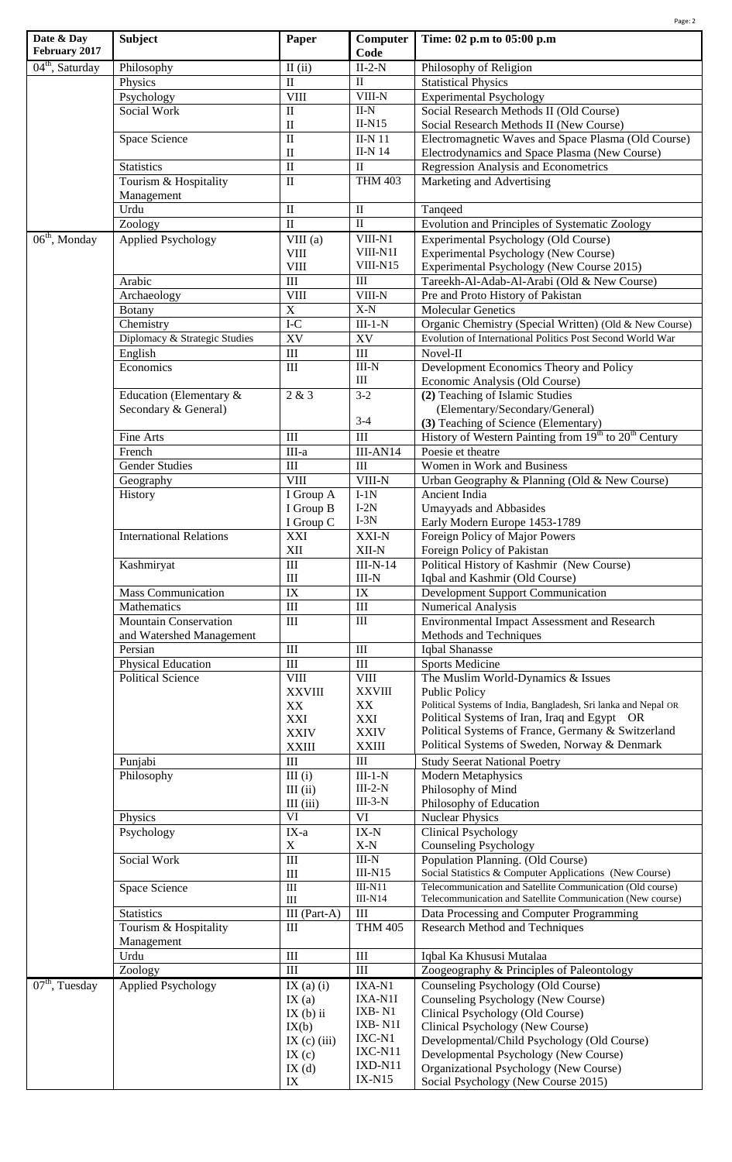|                             |                                |                                   |                                 | Page: 2                                                                                                             |
|-----------------------------|--------------------------------|-----------------------------------|---------------------------------|---------------------------------------------------------------------------------------------------------------------|
| Date & Day<br>February 2017 | <b>Subject</b>                 | Paper                             | Computer<br>Code                | Time: 02 p.m to 05:00 p.m                                                                                           |
| 04 <sup>th</sup> , Saturday | Philosophy                     | $II$ (ii)                         | $II-2-N$                        | Philosophy of Religion                                                                                              |
|                             | Physics                        | $\mathbf{I}$                      | $\mathbf{I}$                    | <b>Statistical Physics</b>                                                                                          |
|                             | Psychology                     | <b>VIII</b>                       | VIII-N                          | <b>Experimental Psychology</b>                                                                                      |
|                             | Social Work                    | $\mathbf{I}$                      | $II-N$                          | Social Research Methods II (Old Course)                                                                             |
|                             |                                | $\mathbf{I}$                      | $II-N15$                        | Social Research Methods II (New Course)                                                                             |
|                             | Space Science                  | $\mathbf{I}$                      | II-N $11$                       | Electromagnetic Waves and Space Plasma (Old Course)                                                                 |
|                             |                                | $\mathbf{I}$                      | <b>II-N 14</b>                  | Electrodynamics and Space Plasma (New Course)                                                                       |
|                             | <b>Statistics</b>              | $\mathbf{I}$                      | $\mathbf{I}$                    | Regression Analysis and Econometrics                                                                                |
|                             | Tourism & Hospitality          | $\mathbf{I}$                      | <b>THM 403</b>                  | Marketing and Advertising                                                                                           |
|                             | Management                     |                                   |                                 |                                                                                                                     |
|                             | Urdu                           | $\mathbf{I}$                      | $\rm II$                        | Tanqeed                                                                                                             |
|                             | Zoology                        | $\mathbf{I}$                      | $\mathbf{I}$                    | Evolution and Principles of Systematic Zoology                                                                      |
| $06th$ , Monday             | <b>Applied Psychology</b>      | VIII(a)                           | VIII-N1                         | Experimental Psychology (Old Course)                                                                                |
|                             |                                | <b>VIII</b>                       | VIII-N1I<br>VIII-N15            | Experimental Psychology (New Course)                                                                                |
|                             |                                | <b>VIII</b>                       |                                 | Experimental Psychology (New Course 2015)                                                                           |
|                             | Arabic                         | $\mathop{\rm III}$<br><b>VIII</b> | Ш<br>VIII-N                     | Tareekh-Al-Adab-Al-Arabi (Old & New Course)                                                                         |
|                             | Archaeology                    | $\mathbf X$                       | $X-N$                           | Pre and Proto History of Pakistan<br><b>Molecular Genetics</b>                                                      |
|                             | <b>Botany</b><br>Chemistry     | $\rm I\text{-}C$                  |                                 |                                                                                                                     |
|                             | Diplomacy & Strategic Studies  | XV                                | $III-1-N$<br>XV                 | Organic Chemistry (Special Written) (Old & New Course)<br>Evolution of International Politics Post Second World War |
|                             |                                | III                               |                                 | Novel-II                                                                                                            |
|                             | English<br>Economics           | III                               | III<br>$\text{III-N}$           |                                                                                                                     |
|                             |                                |                                   | III                             | Development Economics Theory and Policy<br>Economic Analysis (Old Course)                                           |
|                             | Education (Elementary &        | 2 & 3                             | $3 - 2$                         | (2) Teaching of Islamic Studies                                                                                     |
|                             | Secondary & General)           |                                   |                                 | (Elementary/Secondary/General)                                                                                      |
|                             |                                |                                   | $3-4$                           | (3) Teaching of Science (Elementary)                                                                                |
|                             | Fine Arts                      | III                               | $\overline{III}$                | History of Western Painting from 19 <sup>th</sup> to 20 <sup>th</sup> Century                                       |
|                             | French                         | $\overline{\text{III-a}}$         | $III-AN14$                      | Poesie et theatre                                                                                                   |
|                             | <b>Gender Studies</b>          | III                               | $\rm III$                       | Women in Work and Business                                                                                          |
|                             | Geography                      | VIII                              | VIII-N                          | Urban Geography & Planning (Old & New Course)                                                                       |
|                             | History                        | I Group A                         | $I-1N$                          | Ancient India                                                                                                       |
|                             |                                | I Group B                         | $I-2N$                          | Umayyads and Abbasides                                                                                              |
|                             |                                | I Group C                         | $I-3N$                          | Early Modern Europe 1453-1789                                                                                       |
|                             | <b>International Relations</b> | XXI                               | XXI-N                           | Foreign Policy of Major Powers                                                                                      |
|                             |                                | $\mathbf{X}\mathbf{II}$           | $XII-N$                         | Foreign Policy of Pakistan                                                                                          |
|                             | Kashmiryat                     | III                               | $III-N-14$                      | Political History of Kashmir (New Course)                                                                           |
|                             |                                | $\mathop{\rm III}$                | $III-N$                         | Iqbal and Kashmir (Old Course)                                                                                      |
|                             | <b>Mass Communication</b>      | $\overline{\text{IX}}$            | $\overline{IX}$                 | <b>Development Support Communication</b>                                                                            |
|                             | Mathematics                    | III                               | $\rm III$                       | <b>Numerical Analysis</b>                                                                                           |
|                             | <b>Mountain Conservation</b>   | III                               | $\rm III$                       | <b>Environmental Impact Assessment and Research</b>                                                                 |
|                             | and Watershed Management       |                                   |                                 | Methods and Techniques                                                                                              |
|                             | Persian                        | $\mathop{\rm III}$                | $\rm III$                       | Iqbal Shanasse                                                                                                      |
|                             | Physical Education             | $\rm III$                         | $\rm III$                       | <b>Sports Medicine</b>                                                                                              |
|                             | <b>Political Science</b>       | <b>VIII</b>                       | <b>VIII</b>                     | The Muslim World-Dynamics & Issues                                                                                  |
|                             |                                | <b>XXVIII</b>                     | <b>XXVIII</b>                   | <b>Public Policy</b>                                                                                                |
|                             |                                | XX                                | XX                              | Political Systems of India, Bangladesh, Sri lanka and Nepal OR                                                      |
|                             |                                | XXI                               | XXI                             | Political Systems of Iran, Iraq and Egypt OR                                                                        |
|                             |                                | <b>XXIV</b>                       | <b>XXIV</b>                     | Political Systems of France, Germany & Switzerland<br>Political Systems of Sweden, Norway & Denmark                 |
|                             |                                | <b>XXIII</b>                      | <b>XXIII</b>                    |                                                                                                                     |
|                             | Punjabi                        | $\mathop{\rm III}$<br>III(i)      | III<br>$III-1-N$                | <b>Study Seerat National Poetry</b><br><b>Modern Metaphysics</b>                                                    |
|                             | Philosophy                     | $III$ $(ii)$                      | $III-2-N$                       | Philosophy of Mind                                                                                                  |
|                             |                                | III (iii)                         | $III-3-N$                       | Philosophy of Education                                                                                             |
|                             | Physics                        | VI                                | VI                              | <b>Nuclear Physics</b>                                                                                              |
|                             | Psychology                     | $IX-a$                            | $\mathbf{IX}\text{-}\mathbf{N}$ | <b>Clinical Psychology</b>                                                                                          |
|                             |                                | $\mathbf X$                       | $X-N$                           | <b>Counseling Psychology</b>                                                                                        |
|                             | Social Work                    | $\overline{III}$                  | $III-N$                         | Population Planning. (Old Course)                                                                                   |
|                             |                                | $\rm III$                         | $III-N15$                       | Social Statistics & Computer Applications (New Course)                                                              |
|                             | Space Science                  | $\overline{\rm III}$              | $III-N11$                       | Telecommunication and Satellite Communication (Old course)                                                          |
|                             |                                | $\rm III$                         | $III-N14$                       | Telecommunication and Satellite Communication (New course)                                                          |
|                             | <b>Statistics</b>              | III $(Part-A)$                    | $\mathbf{III}$                  | Data Processing and Computer Programming                                                                            |
|                             | Tourism & Hospitality          | $\mathbf{III}$                    | <b>THM 405</b>                  | Research Method and Techniques                                                                                      |
|                             | Management                     |                                   |                                 |                                                                                                                     |
|                             | Urdu                           | $\rm III$                         | $\rm III$                       | Iqbal Ka Khususi Mutalaa                                                                                            |
|                             | Zoology                        | III                               | III                             | Zoogeography & Principles of Paleontology                                                                           |
| $07th$ , Tuesday            | <b>Applied Psychology</b>      | IX $(a)$ $(i)$                    | IXA-N1                          | Counseling Psychology (Old Course)                                                                                  |
|                             |                                | IX(a)                             | IXA-N1I                         | Counseling Psychology (New Course)                                                                                  |
|                             |                                | $IX$ (b) ii                       | IXB-N1                          | Clinical Psychology (Old Course)                                                                                    |
|                             |                                | IX(b)                             | IXB- $N1I$                      | Clinical Psychology (New Course)                                                                                    |
|                             |                                | IX $(c)$ $(iii)$                  | IXC-N1<br>IXC-N11               | Developmental/Child Psychology (Old Course)                                                                         |
|                             |                                | IX(c)                             | IXD-N11                         | Developmental Psychology (New Course)                                                                               |
|                             |                                | IX(d)                             | $IX-N15$                        | Organizational Psychology (New Course)                                                                              |
|                             |                                | IX                                |                                 | Social Psychology (New Course 2015)                                                                                 |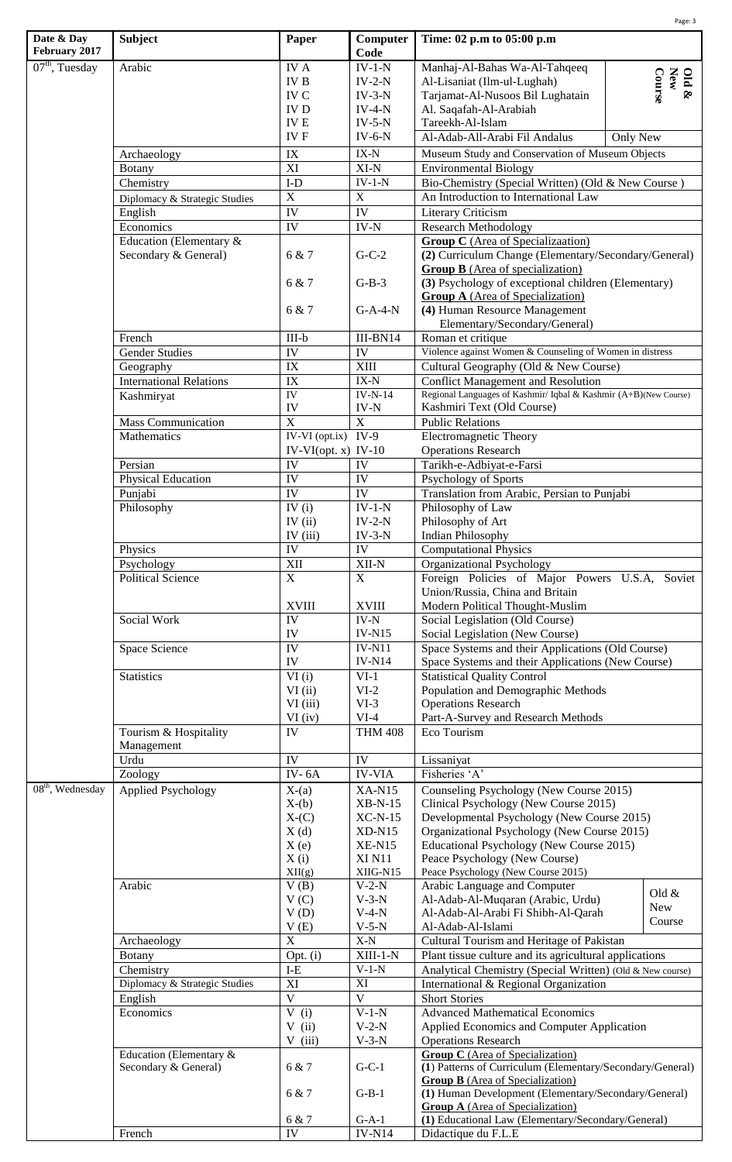| Date & Day                        | <b>Subject</b>                                                             | Paper                   | Computer                       | Page: 3<br>Time: 02 p.m to 05:00 p.m                                                                                                                             |  |  |
|-----------------------------------|----------------------------------------------------------------------------|-------------------------|--------------------------------|------------------------------------------------------------------------------------------------------------------------------------------------------------------|--|--|
| February 2017<br>$07th$ , Tuesday | Arabic                                                                     | <b>IVA</b>              | Code<br>$IV-1-N$               | Manhaj-Al-Bahas Wa-Al-Tahqeeq                                                                                                                                    |  |  |
|                                   |                                                                            | <b>IVB</b>              | $IV-2-N$                       | Old $\&$<br>New<br>Course<br>Al-Lisaniat (Ilm-ul-Lughah)                                                                                                         |  |  |
|                                   |                                                                            | IV C                    | $IV-3-N$                       | Tarjamat-Al-Nusoos Bil Lughatain                                                                                                                                 |  |  |
|                                   |                                                                            | <b>IVD</b>              | $IV-4-N$                       | Al. Saqafah-Al-Arabiah                                                                                                                                           |  |  |
|                                   |                                                                            | <b>IVE</b>              | $IV-5-N$                       | Tareekh-Al-Islam                                                                                                                                                 |  |  |
|                                   |                                                                            | IV F                    | $IV-6-N$                       | Al-Adab-All-Arabi Fil Andalus<br>Only New                                                                                                                        |  |  |
|                                   | Archaeology                                                                | IX                      | $IX-N$                         | Museum Study and Conservation of Museum Objects                                                                                                                  |  |  |
|                                   | <b>Botany</b>                                                              | XI                      | $XI-N$                         | <b>Environmental Biology</b>                                                                                                                                     |  |  |
|                                   | Chemistry                                                                  | $I-D$                   | $IV-1-N$                       | Bio-Chemistry (Special Written) (Old & New Course)                                                                                                               |  |  |
|                                   | Diplomacy & Strategic Studies                                              | $\mathbf X$             | $\mathbf X$                    | An Introduction to International Law                                                                                                                             |  |  |
|                                   | English                                                                    | IV                      | IV                             | Literary Criticism                                                                                                                                               |  |  |
|                                   | Economics                                                                  | IV                      | $IV-N$                         | <b>Research Methodology</b>                                                                                                                                      |  |  |
|                                   | Education (Elementary &                                                    |                         |                                | <b>Group C</b> (Area of Specializaation)                                                                                                                         |  |  |
|                                   | Secondary & General)                                                       | 6 & 7                   | $G-C-2$                        | (2) Curriculum Change (Elementary/Secondary/General)<br><b>Group B</b> (Area of specialization)                                                                  |  |  |
|                                   |                                                                            | 6 & 7                   | $G-B-3$                        | (3) Psychology of exceptional children (Elementary)<br><b>Group A</b> (Area of Specialization)<br>(4) Human Resource Management<br>Elementary/Secondary/General) |  |  |
|                                   |                                                                            | 6 & 7                   | $G-A-4-N$                      |                                                                                                                                                                  |  |  |
|                                   | French                                                                     | $III-b$                 | $III-BN14$                     | Roman et critique                                                                                                                                                |  |  |
|                                   | <b>Gender Studies</b>                                                      | IV                      | ${\rm IV}$                     | Violence against Women & Counseling of Women in distress                                                                                                         |  |  |
|                                   | Geography                                                                  | IX                      | <b>XIII</b>                    | Cultural Geography (Old & New Course)                                                                                                                            |  |  |
|                                   | <b>International Relations</b>                                             | $\overline{\text{IX}}$  | $\overline{IX}$ - $N$          | <b>Conflict Management and Resolution</b>                                                                                                                        |  |  |
|                                   | Kashmiryat                                                                 | <b>IV</b>               | $IV-N-14$                      | Regional Languages of Kashmir/ Iqbal & Kashmir (A+B)(New Course)                                                                                                 |  |  |
|                                   |                                                                            | IV                      | $IV-N$                         | Kashmiri Text (Old Course)                                                                                                                                       |  |  |
|                                   | <b>Mass Communication</b>                                                  | $\overline{\mathbf{X}}$ | $\overline{X}$                 | <b>Public Relations</b>                                                                                                                                          |  |  |
|                                   | Mathematics                                                                | $IV-VI$ (opt.ix)        | $IV-9$                         | <b>Electromagnetic Theory</b>                                                                                                                                    |  |  |
|                                   |                                                                            | IV-VI(opt. $x)$ IV-10   |                                | <b>Operations Research</b>                                                                                                                                       |  |  |
|                                   | Persian                                                                    | IV                      | IV                             | Tarikh-e-Adbiyat-e-Farsi                                                                                                                                         |  |  |
|                                   | Physical Education                                                         | IV                      | IV                             | Psychology of Sports                                                                                                                                             |  |  |
|                                   | Punjabi                                                                    | <b>IV</b>               | IV                             | Translation from Arabic, Persian to Punjabi                                                                                                                      |  |  |
|                                   | Philosophy                                                                 | IV $(i)$                | $IV-1-N$                       | Philosophy of Law                                                                                                                                                |  |  |
|                                   |                                                                            | IV $(ii)$               | $IV-2-N$                       | Philosophy of Art                                                                                                                                                |  |  |
|                                   |                                                                            | IV $(iii)$              | $IV-3-N$                       | <b>Indian Philosophy</b>                                                                                                                                         |  |  |
|                                   | Physics                                                                    | ${\rm IV}$              | ${\rm IV}$                     | <b>Computational Physics</b>                                                                                                                                     |  |  |
|                                   | Psychology                                                                 | XII                     | $\overline{XII}$ -N            | Organizational Psychology                                                                                                                                        |  |  |
|                                   | <b>Political Science</b>                                                   | X                       | $\mathbf{X}$                   | Foreign Policies of Major Powers U.S.A, Soviet<br>Union/Russia, China and Britain                                                                                |  |  |
|                                   |                                                                            | <b>XVIII</b>            | <b>XVIII</b>                   | Modern Political Thought-Muslim                                                                                                                                  |  |  |
|                                   | Social Work                                                                | IV                      | $IV-N$                         | Social Legislation (Old Course)                                                                                                                                  |  |  |
|                                   |                                                                            | IV                      | <b>IV-N15</b>                  | Social Legislation (New Course)                                                                                                                                  |  |  |
|                                   | Space Science                                                              | IV<br>IV                | <b>IV-N11</b><br><b>IV-N14</b> | Space Systems and their Applications (Old Course)<br>Space Systems and their Applications (New Course)                                                           |  |  |
|                                   | <b>Statistics</b><br>VI(i)<br>$VI-1$<br><b>Statistical Quality Control</b> |                         |                                |                                                                                                                                                                  |  |  |
|                                   |                                                                            | VI(i)                   | $VI-2$                         | Population and Demographic Methods                                                                                                                               |  |  |
|                                   |                                                                            | VI (iii)                | $VI-3$                         | <b>Operations Research</b>                                                                                                                                       |  |  |
|                                   |                                                                            | $VI$ (iv)               | $VI-4$                         | Part-A-Survey and Research Methods                                                                                                                               |  |  |
|                                   | Tourism & Hospitality<br>Management                                        | IV                      | <b>THM 408</b>                 | Eco Tourism                                                                                                                                                      |  |  |
|                                   | Urdu                                                                       | IV                      | IV                             | Lissaniyat                                                                                                                                                       |  |  |
|                                   | Zoology                                                                    | IV- $6A$                | <b>IV-VIA</b>                  | Fisheries 'A'                                                                                                                                                    |  |  |
| $08th$ , Wednesday                | <b>Applied Psychology</b>                                                  | $X-(a)$                 | $XA-N15$                       | Counseling Psychology (New Course 2015)                                                                                                                          |  |  |
|                                   |                                                                            | $X-(b)$                 | $XB-N-15$                      | Clinical Psychology (New Course 2015)                                                                                                                            |  |  |
|                                   |                                                                            | $X-(C)$                 | $XC-N-15$                      | Developmental Psychology (New Course 2015)                                                                                                                       |  |  |
|                                   |                                                                            | X(d)                    | $XD-N15$                       | Organizational Psychology (New Course 2015)                                                                                                                      |  |  |
|                                   |                                                                            | X(e)                    | $XE-N15$                       | Educational Psychology (New Course 2015)                                                                                                                         |  |  |
|                                   |                                                                            | X(i)                    | <b>XI N11</b>                  | Peace Psychology (New Course)                                                                                                                                    |  |  |
|                                   |                                                                            | XII(g)                  | XIIG-N15                       | Peace Psychology (New Course 2015)                                                                                                                               |  |  |
|                                   | Arabic                                                                     | V(B)                    | $V-2-N$                        | Arabic Language and Computer<br>Old $&$                                                                                                                          |  |  |
|                                   |                                                                            | V(C)                    | $V-3-N$<br>$V-4-N$             | Al-Adab-Al-Muqaran (Arabic, Urdu)<br>New<br>Al-Adab-Al-Arabi Fi Shibh-Al-Qarah                                                                                   |  |  |
|                                   |                                                                            | V(D)<br>V(E)            | $V-5-N$                        | Course<br>Al-Adab-Al-Islami                                                                                                                                      |  |  |
|                                   | Archaeology                                                                | $\mathbf X$             | $X-N$                          | Cultural Tourism and Heritage of Pakistan                                                                                                                        |  |  |
|                                   | Botany                                                                     | Opt. (i)                | $XIII-1-N$                     | Plant tissue culture and its agricultural applications                                                                                                           |  |  |
|                                   | Chemistry                                                                  | $I-E$                   | $V-1-N$                        | Analytical Chemistry (Special Written) (Old & New course)                                                                                                        |  |  |
|                                   | Diplomacy & Strategic Studies                                              | XI                      | XI                             | International & Regional Organization                                                                                                                            |  |  |
|                                   | English                                                                    | $\overline{\mathbf{V}}$ | $\overline{\mathbf{V}}$        | <b>Short Stories</b>                                                                                                                                             |  |  |
|                                   | Economics                                                                  | V(i)                    | $V-1-N$                        | <b>Advanced Mathematical Economics</b>                                                                                                                           |  |  |
|                                   |                                                                            | V(i)                    | $V-2-N$                        | Applied Economics and Computer Application                                                                                                                       |  |  |
|                                   |                                                                            | $V$ (iii)               | $V-3-N$                        | <b>Operations Research</b>                                                                                                                                       |  |  |
|                                   | Education (Elementary &<br>Secondary & General)                            | 6 & 7                   | $G-C-1$                        | <b>Group C</b> (Area of Specialization)<br>(1) Patterns of Curriculum (Elementary/Secondary/General)                                                             |  |  |
|                                   |                                                                            | 6 & 7                   | $G-B-1$                        | <b>Group B</b> (Area of Specialization)<br>(1) Human Development (Elementary/Secondary/General)<br><b>Group A</b> (Area of Specialization)                       |  |  |
|                                   | 6 & 7<br>$G-A-1$                                                           |                         |                                | (1) Educational Law (Elementary/Secondary/General)                                                                                                               |  |  |
|                                   | French                                                                     | <b>IV</b>               | $IV-N14$                       | Didactique du F.L.E                                                                                                                                              |  |  |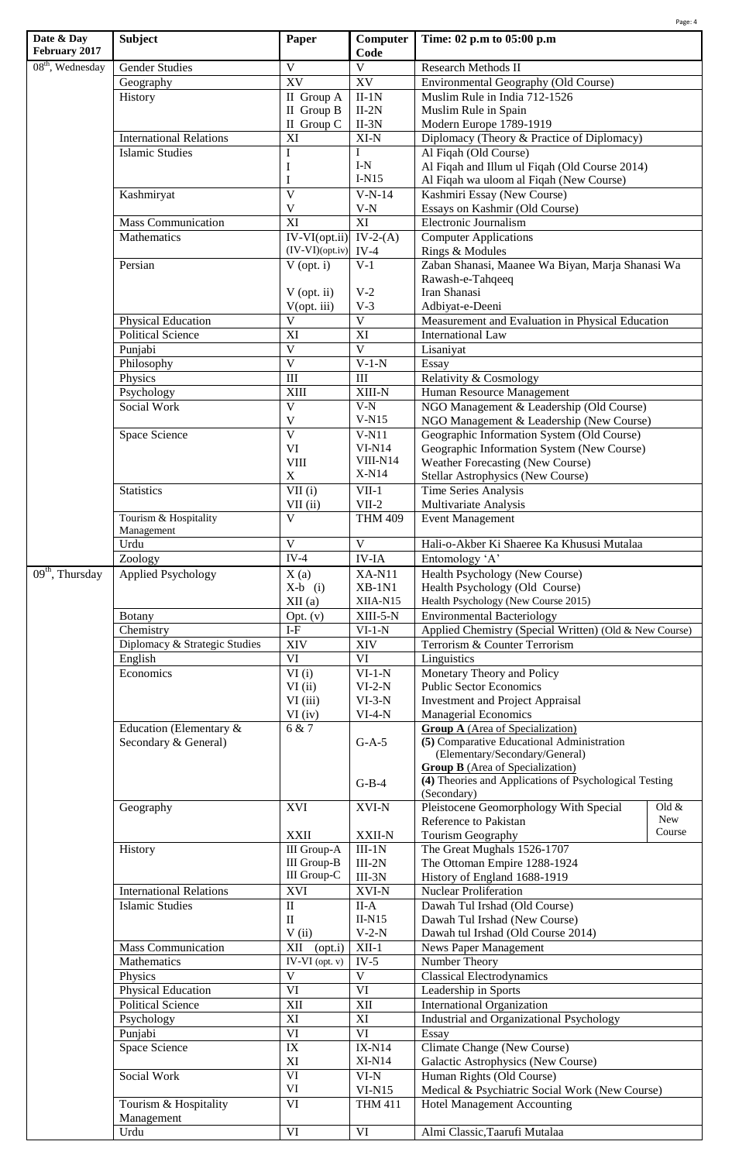| Date & Day                      |                                          |                                          |                                  |                                                                                                   | Page: 4              |  |
|---------------------------------|------------------------------------------|------------------------------------------|----------------------------------|---------------------------------------------------------------------------------------------------|----------------------|--|
| February 2017                   | <b>Subject</b>                           | Paper                                    | Computer<br>Code                 | Time: 02 p.m to 05:00 p.m                                                                         |                      |  |
| $08th$ , Wednesday              | <b>Gender Studies</b>                    | $\mathbf{V}$                             | $\mathbf V$                      | <b>Research Methods II</b>                                                                        |                      |  |
|                                 | Geography                                | XV                                       | XV                               | Environmental Geography (Old Course)                                                              |                      |  |
|                                 | History                                  | II Group A                               | $II-1N$                          | Muslim Rule in India 712-1526                                                                     |                      |  |
|                                 |                                          | II Group B<br>II Group C                 | $II-2N$<br>$II-3N$               | Muslim Rule in Spain<br>Modern Europe 1789-1919                                                   |                      |  |
|                                 | <b>International Relations</b>           | XI                                       | $XI-N$                           | Diplomacy (Theory & Practice of Diplomacy)                                                        |                      |  |
|                                 | Islamic Studies                          | I                                        | $\mathbf{I}$                     | Al Fiqah (Old Course)                                                                             |                      |  |
|                                 |                                          | $\bf{I}$                                 | $I-N$                            | Al Fiqah and Illum ul Fiqah (Old Course 2014)                                                     |                      |  |
|                                 |                                          | $\bf I$                                  | $I-N15$                          | Al Fiqah wa uloom al Fiqah (New Course)                                                           |                      |  |
|                                 | Kashmiryat                               | $\overline{V}$                           | $V-N-14$                         | Kashmiri Essay (New Course)                                                                       |                      |  |
|                                 | <b>Mass Communication</b>                | $\mathbf V$<br>$\overline{XI}$           | $\ensuremath{\text{V-N}}$<br>XI  | Essays on Kashmir (Old Course)<br>Electronic Journalism                                           |                      |  |
|                                 | Mathematics                              | IV-VI(opt.ii) IV-2-(A)                   |                                  | <b>Computer Applications</b>                                                                      |                      |  |
|                                 |                                          | $(IV-VI)(opt(iv)$                        | $IV-4$                           | Rings & Modules                                                                                   |                      |  |
|                                 | Persian                                  | $V$ (opt. i)                             | $V-1$                            | Zaban Shanasi, Maanee Wa Biyan, Marja Shanasi Wa                                                  |                      |  |
|                                 |                                          |                                          |                                  | Rawash-e-Tahqeeq                                                                                  |                      |  |
|                                 |                                          | $V$ (opt. ii)                            | $V-2$                            | Iran Shanasi                                                                                      |                      |  |
|                                 | Physical Education                       | V(opt. iii)<br>$\mathbf{V}$              | $V-3$<br>$\overline{\mathbf{V}}$ | Adbiyat-e-Deeni<br>Measurement and Evaluation in Physical Education                               |                      |  |
|                                 | <b>Political Science</b>                 | XI                                       | XI                               | <b>International Law</b>                                                                          |                      |  |
|                                 | Punjabi                                  | $\mathbf V$                              | $\overline{\mathbf{V}}$          | Lisaniyat                                                                                         |                      |  |
|                                 | Philosophy                               | $\overline{\mathbf{V}}$                  | $V-1-N$                          | Essay                                                                                             |                      |  |
|                                 | Physics                                  | III                                      | III                              | Relativity & Cosmology                                                                            |                      |  |
|                                 | Psychology                               | <b>XIII</b>                              | XIII-N                           | Human Resource Management                                                                         |                      |  |
|                                 | Social Work                              | $\mathbf{V}$                             | $V-N$                            | NGO Management & Leadership (Old Course)                                                          |                      |  |
|                                 | Space Science                            | $\mathbf V$<br>$\overline{V}$            | $V-N15$<br>$V-N11$               | NGO Management & Leadership (New Course)<br>Geographic Information System (Old Course)            |                      |  |
|                                 |                                          | VI                                       | $VI-N14$                         | Geographic Information System (New Course)                                                        |                      |  |
|                                 |                                          | <b>VIII</b>                              | VIII-N14                         | Weather Forecasting (New Course)                                                                  |                      |  |
|                                 |                                          | $\mathbf X$                              | X-N14                            | <b>Stellar Astrophysics (New Course)</b>                                                          |                      |  |
|                                 | <b>Statistics</b>                        | $\overline{\text{VII}}$ (i)              | $\overline{\text{VII}}$ -1       | <b>Time Series Analysis</b>                                                                       |                      |  |
|                                 |                                          | $VII$ (ii)                               | $VII-2$                          | Multivariate Analysis                                                                             |                      |  |
|                                 | Tourism & Hospitality<br>Management      | $\mathbf{V}$                             | <b>THM 409</b>                   | <b>Event Management</b>                                                                           |                      |  |
|                                 | Urdu                                     | $\mathbf{V}$                             | $\mathbf{V}$                     | Hali-o-Akber Ki Shaeree Ka Khususi Mutalaa                                                        |                      |  |
|                                 | Zoology                                  | $IV-4$                                   | $IV-IA$                          | Entomology 'A'                                                                                    |                      |  |
| $\overline{09^{th}}$ , Thursday | <b>Applied Psychology</b>                | X(a)                                     | $XA-N11$                         | Health Psychology (New Course)                                                                    |                      |  |
|                                 |                                          | $X-b$ (i)                                | $XB-1N1$<br>XIIA-N15             | Health Psychology (Old Course)<br>Health Psychology (New Course 2015)                             |                      |  |
|                                 | <b>Botany</b>                            | XII(a)<br>Opt. (v)                       | XIII-5-N                         | <b>Environmental Bacteriology</b>                                                                 |                      |  |
|                                 | Chemistry                                | $I-F$                                    | $VI-1-N$                         | Applied Chemistry (Special Written) (Old & New Course)                                            |                      |  |
|                                 | Diplomacy & Strategic Studies            | XIV                                      | XIV                              | Terrorism & Counter Terrorism                                                                     |                      |  |
|                                 | English                                  | VI                                       | VI                               | Linguistics                                                                                       |                      |  |
|                                 | Economics                                | VI(i)                                    | $VI-1-N$                         | Monetary Theory and Policy                                                                        |                      |  |
|                                 |                                          | VI(i)<br>VI (iii)                        | $VI-2-N$<br>$VI-3-N$             | <b>Public Sector Economics</b><br><b>Investment and Project Appraisal</b>                         |                      |  |
|                                 |                                          | $VI$ (iv)                                | $VI-4-N$                         | <b>Managerial Economics</b>                                                                       |                      |  |
|                                 | Education (Elementary &                  | 6 & 7                                    |                                  | <b>Group A</b> (Area of Specialization)                                                           |                      |  |
|                                 | Secondary & General)                     |                                          | $G-A-5$                          | (5) Comparative Educational Administration                                                        |                      |  |
|                                 |                                          |                                          |                                  | (Elementary/Secondary/General)                                                                    |                      |  |
|                                 |                                          |                                          |                                  | <b>Group B</b> (Area of Specialization)<br>(4) Theories and Applications of Psychological Testing |                      |  |
|                                 |                                          |                                          | $G-B-4$                          | (Secondary)                                                                                       |                      |  |
|                                 | Geography                                | <b>XVI</b>                               | XVI-N                            | Pleistocene Geomorphology With Special                                                            | Old $&$              |  |
|                                 |                                          |                                          |                                  | Reference to Pakistan                                                                             | <b>New</b><br>Course |  |
|                                 |                                          | <b>XXII</b>                              | XXII-N                           | Tourism Geography                                                                                 |                      |  |
|                                 | History                                  | <b>III</b> Group-A<br><b>III</b> Group-B | $III-1N$<br>$III-2N$             | The Great Mughals 1526-1707<br>The Ottoman Empire 1288-1924                                       |                      |  |
|                                 |                                          | III Group-C                              | $III-3N$                         | History of England 1688-1919                                                                      |                      |  |
|                                 | <b>International Relations</b>           | XVI                                      | XVI-N                            | <b>Nuclear Proliferation</b>                                                                      |                      |  |
|                                 | <b>Islamic Studies</b>                   | $\mathbf{I}$                             | $\overline{II}$ -A               | Dawah Tul Irshad (Old Course)                                                                     |                      |  |
|                                 |                                          | $\mathbf{I}$                             | $II-N15$                         | Dawah Tul Irshad (New Course)                                                                     |                      |  |
|                                 |                                          | V(i)                                     | $V-2-N$<br>$XII-1$               | Dawah tul Irshad (Old Course 2014)                                                                |                      |  |
|                                 | <b>Mass Communication</b><br>Mathematics | XII<br>(opt.i)<br>$IV-VI$ (opt. v)       | $IV-5$                           | <b>News Paper Management</b><br>Number Theory                                                     |                      |  |
|                                 | Physics                                  | $\mathbf{V}$                             | $\overline{\mathbf{V}}$          | <b>Classical Electrodynamics</b>                                                                  |                      |  |
|                                 | Physical Education                       | VI                                       | $\overline{\text{VI}}$           | Leadership in Sports                                                                              |                      |  |
|                                 | <b>Political Science</b>                 | XII                                      | XII                              | <b>International Organization</b>                                                                 |                      |  |
|                                 | Psychology                               | XI                                       | XI                               | Industrial and Organizational Psychology                                                          |                      |  |
|                                 | Punjabi                                  | <b>VI</b>                                | VI                               | Essay                                                                                             |                      |  |
|                                 | Space Science                            | IX<br>XI                                 | $IX-N14$<br>$XI-N14$             | Climate Change (New Course)<br>Galactic Astrophysics (New Course)                                 |                      |  |
|                                 | Social Work                              | VI                                       | $VI-N$                           | Human Rights (Old Course)                                                                         |                      |  |
|                                 |                                          | VI                                       | $VI-N15$                         | Medical & Psychiatric Social Work (New Course)                                                    |                      |  |
|                                 | Tourism & Hospitality                    | VI                                       | <b>THM 411</b>                   | <b>Hotel Management Accounting</b>                                                                |                      |  |
|                                 | Management                               | VI                                       | VI                               | Almi Classic, Taarufi Mutalaa                                                                     |                      |  |
|                                 | Urdu                                     |                                          |                                  |                                                                                                   |                      |  |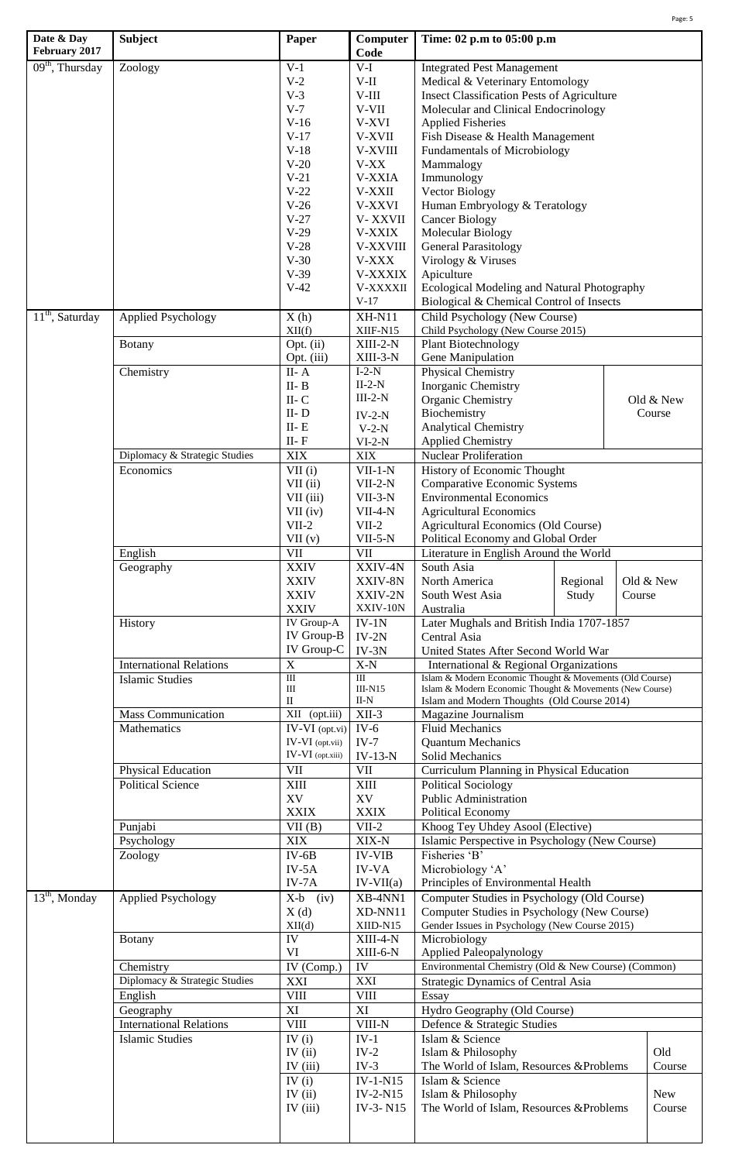|                                        |                                |                         |                  |                                                          | Page: 5   |  |
|----------------------------------------|--------------------------------|-------------------------|------------------|----------------------------------------------------------|-----------|--|
| Date & Day<br>February 2017            | <b>Subject</b>                 | Paper                   | Computer<br>Code | Time: 02 p.m to 05:00 p.m                                |           |  |
| $09th$ , Thursday                      | Zoology                        | $V-1$                   | $V-I$            | <b>Integrated Pest Management</b>                        |           |  |
|                                        |                                | $V-2$                   | $V-II$           | Medical & Veterinary Entomology                          |           |  |
|                                        |                                | $V-3$                   | $V-III$          | <b>Insect Classification Pests of Agriculture</b>        |           |  |
|                                        |                                | $V-7$                   | V-VII            | Molecular and Clinical Endocrinology                     |           |  |
|                                        |                                | $V-16$                  | V-XVI            | <b>Applied Fisheries</b>                                 |           |  |
|                                        |                                | $V-17$                  | V-XVII           | Fish Disease & Health Management                         |           |  |
|                                        |                                | $V-18$                  | V-XVIII          | <b>Fundamentals of Microbiology</b>                      |           |  |
|                                        |                                | $V-20$                  | $V-XX$           | Mammalogy                                                |           |  |
|                                        |                                | $V-21$                  | <b>V-XXIA</b>    | Immunology                                               |           |  |
|                                        |                                | $V-22$                  | V-XXII           | Vector Biology                                           |           |  |
|                                        |                                | $V-26$                  | <b>V-XXVI</b>    | Human Embryology & Teratology                            |           |  |
|                                        |                                | $V-27$                  | V-XXVII          | <b>Cancer Biology</b>                                    |           |  |
|                                        |                                | $V-29$                  | <b>V-XXIX</b>    | Molecular Biology                                        |           |  |
|                                        |                                | $V-28$                  | V-XXVIII         | <b>General Parasitology</b>                              |           |  |
|                                        |                                | $V-30$                  | V-XXX            | Virology & Viruses                                       |           |  |
|                                        |                                | $V-39$                  | V-XXXIX          | Apiculture                                               |           |  |
|                                        |                                | $V-42$                  | V-XXXXII         | Ecological Modeling and Natural Photography              |           |  |
|                                        |                                |                         | $V-17$           | Biological & Chemical Control of Insects                 |           |  |
| $\overline{11}^{\text{th}}$ , Saturday | <b>Applied Psychology</b>      | X(h)                    | <b>XH-N11</b>    | Child Psychology (New Course)                            |           |  |
|                                        |                                | XII(f)                  | XIIF-N15         | Child Psychology (New Course 2015)                       |           |  |
|                                        | <b>Botany</b>                  | Opt. (ii)               | $XIII-2-N$       | Plant Biotechnology                                      |           |  |
|                                        |                                | Opt. (iii)              | XIII-3-N         | Gene Manipulation                                        |           |  |
|                                        | Chemistry                      | $II - A$                | $I-2-N$          | Physical Chemistry                                       |           |  |
|                                        |                                | $II - B$                | $II-2-N$         | Inorganic Chemistry                                      |           |  |
|                                        |                                | $\rm II\text{-}C$       | $III-2-N$        | Organic Chemistry                                        | Old & New |  |
|                                        |                                | $II - D$                | $IV-2-N$         | Biochemistry                                             | Course    |  |
|                                        |                                | $II - E$                | $V-2-N$          | <b>Analytical Chemistry</b>                              |           |  |
|                                        |                                | $\rm II\text{-}F$       | $VI-2-N$         | <b>Applied Chemistry</b>                                 |           |  |
|                                        | Diplomacy & Strategic Studies  | <b>XIX</b>              | <b>XIX</b>       | <b>Nuclear Proliferation</b>                             |           |  |
|                                        | Economics                      | $\overline{VII}$ (i)    | $VII-1-N$        | History of Economic Thought                              |           |  |
|                                        |                                | VII (ii)                | $VII-2-N$        | <b>Comparative Economic Systems</b>                      |           |  |
|                                        |                                | VII (iii)               | $VII-3-N$        | <b>Environmental Economics</b>                           |           |  |
|                                        |                                | $VII$ (iv)              | $VII-4-N$        | <b>Agricultural Economics</b>                            |           |  |
|                                        |                                | $VII-2$                 | $VII-2$          | Agricultural Economics (Old Course)                      |           |  |
|                                        |                                | VII(v)                  | $VII-5-N$        | Political Economy and Global Order                       |           |  |
|                                        | English                        | VII                     | <b>VII</b>       | Literature in English Around the World                   |           |  |
|                                        | Geography                      | <b>XXIV</b>             | XXIV-4N          | South Asia                                               |           |  |
|                                        |                                | <b>XXIV</b>             | XXIV-8N          | North America<br>Regional                                | Old & New |  |
|                                        |                                | <b>XXIV</b>             | XXIV-2N          | South West Asia                                          |           |  |
|                                        |                                | <b>XXIV</b>             | XXIV-10N         | Study<br>Australia                                       | Course    |  |
|                                        | History                        | IV Group-A              | $IV-1N$          | Later Mughals and British India 1707-1857                |           |  |
|                                        |                                | IV Group-B              | $IV-2N$          | Central Asia                                             |           |  |
|                                        |                                | IV Group-C              | $IV-3N$          | United States After Second World War                     |           |  |
|                                        | <b>International Relations</b> | $\overline{X}$          | $X-N$            | International & Regional Organizations                   |           |  |
|                                        | <b>Islamic Studies</b>         | $\rm III$               | $\overline{III}$ | Islam & Modern Economic Thought & Movements (Old Course) |           |  |
|                                        |                                | Ш                       | $III-N15$        | Islam & Modern Economic Thought & Movements (New Course) |           |  |
|                                        |                                | П                       | II-N             | Islam and Modern Thoughts (Old Course 2014)              |           |  |
|                                        | <b>Mass Communication</b>      | XII<br>(opt.iii)        | $XII-3$          | Magazine Journalism                                      |           |  |
|                                        | Mathematics                    | $IV-VI$ (opt.vi)        | $IV-6$           | <b>Fluid Mechanics</b>                                   |           |  |
|                                        |                                | IV-VI (opt.vii)         | $IV-7$           | <b>Quantum Mechanics</b>                                 |           |  |
|                                        |                                | IV-VI (opt.xiii)        | $IV-13-N$        | Solid Mechanics                                          |           |  |
|                                        | Physical Education             | <b>VII</b>              | <b>VII</b>       | Curriculum Planning in Physical Education                |           |  |
|                                        | <b>Political Science</b>       | <b>XIII</b>             | XIII             | <b>Political Sociology</b>                               |           |  |
|                                        |                                | XV                      | XV               | Public Administration                                    |           |  |
|                                        |                                | <b>XXIX</b>             | <b>XXIX</b>      | <b>Political Economy</b>                                 |           |  |
|                                        | Punjabi                        | VII(B)                  | $VII-2$          | Khoog Tey Uhdey Asool (Elective)                         |           |  |
|                                        | Psychology                     | <b>XIX</b>              | XIX-N            | Islamic Perspective in Psychology (New Course)           |           |  |
|                                        | Zoology                        | $IV-6B$                 | <b>IV-VIB</b>    | Fisheries 'B'                                            |           |  |
|                                        |                                | $IV-5A$                 | <b>IV-VA</b>     | Microbiology 'A'                                         |           |  |
|                                        |                                | $IV-7A$                 | $IV-VII(a)$      | Principles of Environmental Health                       |           |  |
| $13th$ , Monday                        | <b>Applied Psychology</b>      | $X-b$ (iv)              | XB-4NN1          | Computer Studies in Psychology (Old Course)              |           |  |
|                                        |                                | X(d)                    | XD-NN11          | Computer Studies in Psychology (New Course)              |           |  |
|                                        |                                | XII(d)                  | XIID-N15         | Gender Issues in Psychology (New Course 2015)            |           |  |
|                                        | <b>Botany</b>                  | IV                      | $XIII-4-N$       | Microbiology                                             |           |  |
|                                        |                                | VI                      | XIII-6-N         | Applied Paleopalynology                                  |           |  |
|                                        | Chemistry                      | $\overline{IV}$ (Comp.) | IV               | Environmental Chemistry (Old & New Course) (Common)      |           |  |
|                                        | Diplomacy & Strategic Studies  | XXI                     | XXI              | Strategic Dynamics of Central Asia                       |           |  |
|                                        | English                        | <b>VIII</b>             | <b>VIII</b>      | Essay                                                    |           |  |
|                                        | Geography                      | XI                      | XI               | Hydro Geography (Old Course)                             |           |  |
|                                        | <b>International Relations</b> | <b>VIII</b>             | VIII-N           | Defence & Strategic Studies                              |           |  |
|                                        | <b>Islamic Studies</b>         | IV $(i)$                | $IV-1$           | Islam & Science                                          |           |  |
|                                        |                                | IV $(ii)$               | $IV-2$           | Islam & Philosophy                                       | Old       |  |
|                                        |                                | IV $(iii)$              | $IV-3$           | The World of Islam, Resources &Problems                  | Course    |  |
|                                        |                                | IV $(i)$                | $IV-1-N15$       | Islam & Science                                          |           |  |
|                                        |                                | IV $(ii)$               | IV-2-N15         | Islam & Philosophy                                       | New       |  |
|                                        |                                | IV $(iii)$              | IV-3-N15         | The World of Islam, Resources &Problems                  | Course    |  |
|                                        |                                |                         |                  |                                                          |           |  |
|                                        |                                |                         |                  |                                                          |           |  |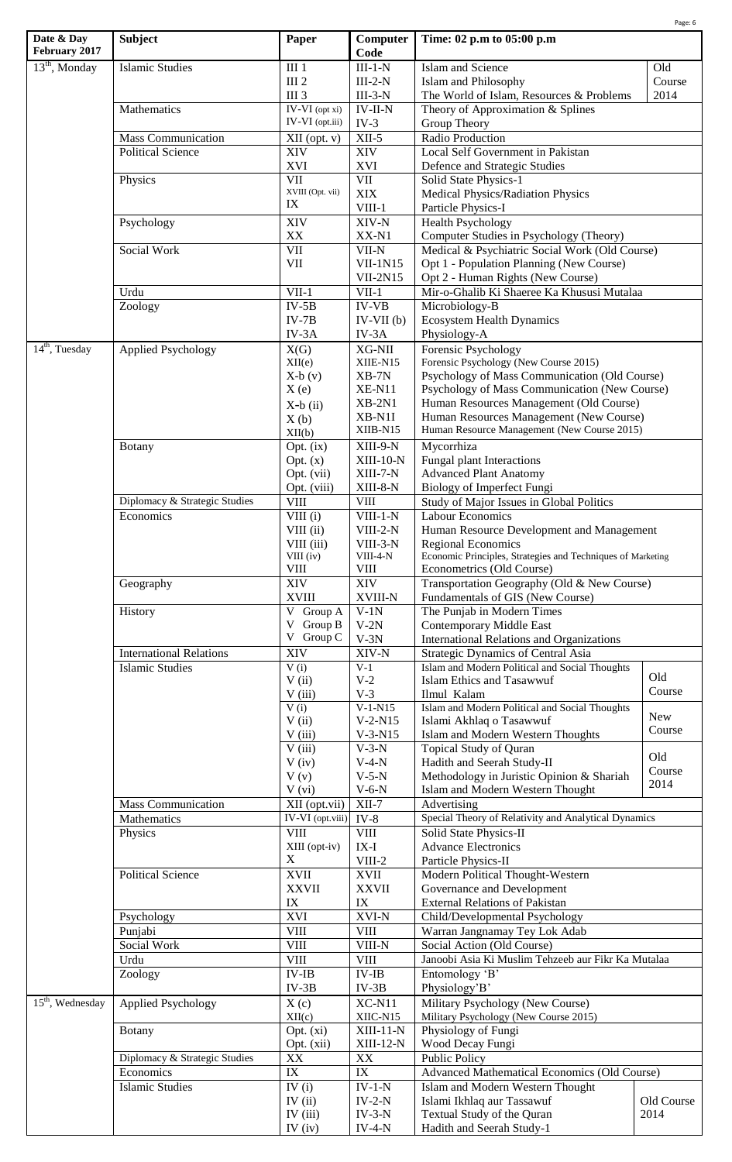| Date & Day<br>February 2017 | <b>Subject</b>                 | Paper                            | Computer<br>Code                | Time: 02 p.m to 05:00 p.m                                                                                                                                                            | Page: 6    |  |  |
|-----------------------------|--------------------------------|----------------------------------|---------------------------------|--------------------------------------------------------------------------------------------------------------------------------------------------------------------------------------|------------|--|--|
| $13th$ , Monday             | <b>Islamic Studies</b>         | III <sub>1</sub>                 | $III-1-N$                       | Islam and Science                                                                                                                                                                    | Old        |  |  |
|                             |                                | III <sub>2</sub>                 | $III-2-N$                       | <b>Islam and Philosophy</b>                                                                                                                                                          | Course     |  |  |
|                             |                                | <b>III</b> 3                     | $III-3-N$                       | The World of Islam, Resources & Problems                                                                                                                                             | 2014       |  |  |
|                             | Mathematics                    | IV-VI (opt xi)                   | $IV-II-N$                       | Theory of Approximation & Splines                                                                                                                                                    |            |  |  |
|                             |                                | IV-VI (opt.iii)                  | $IV-3$                          | Group Theory                                                                                                                                                                         |            |  |  |
|                             | <b>Mass Communication</b>      | XII (opt. v)                     | $XII-5$                         | Radio Production                                                                                                                                                                     |            |  |  |
|                             | <b>Political Science</b>       | <b>XIV</b>                       | XIV                             | Local Self Government in Pakistan                                                                                                                                                    |            |  |  |
|                             |                                | <b>XVI</b>                       | <b>XVI</b>                      | Defence and Strategic Studies                                                                                                                                                        |            |  |  |
|                             | Physics                        | VII<br>XVIII (Opt. vii)          | VII                             | Solid State Physics-1                                                                                                                                                                |            |  |  |
|                             |                                | IX                               | <b>XIX</b><br>$VIII-1$          | <b>Medical Physics/Radiation Physics</b><br>Particle Physics-I                                                                                                                       |            |  |  |
|                             | Psychology                     | <b>XIV</b>                       | XIV-N                           | <b>Health Psychology</b>                                                                                                                                                             |            |  |  |
|                             |                                | XX                               | XX-N1                           | Computer Studies in Psychology (Theory)                                                                                                                                              |            |  |  |
|                             | Social Work                    | $\rm{VII}$                       | VII-N                           | Medical & Psychiatric Social Work (Old Course)                                                                                                                                       |            |  |  |
|                             |                                | VII                              | $VII-1N15$                      | Opt 1 - Population Planning (New Course)                                                                                                                                             |            |  |  |
|                             |                                |                                  | $VII-2N15$                      | Opt 2 - Human Rights (New Course)                                                                                                                                                    |            |  |  |
|                             | Urdu                           | $VII-1$                          | $VII-1$                         | Mir-o-Ghalib Ki Shaeree Ka Khususi Mutalaa                                                                                                                                           |            |  |  |
|                             | Zoology                        | $IV-5B$                          | <b>IV-VB</b>                    | Microbiology-B                                                                                                                                                                       |            |  |  |
|                             |                                | $IV-7B$                          | $IV-VII(b)$                     | <b>Ecosystem Health Dynamics</b>                                                                                                                                                     |            |  |  |
|                             |                                | IV-3A                            | $IV-3A$                         | Physiology-A                                                                                                                                                                         |            |  |  |
| $14th$ , Tuesday            | <b>Applied Psychology</b>      | X(G)                             | XG-NII                          | Forensic Psychology                                                                                                                                                                  |            |  |  |
|                             |                                | XII(e)<br>$X-b(v)$               | XIIE-N15<br>$XB-7N$             | Forensic Psychology (New Course 2015)                                                                                                                                                |            |  |  |
|                             |                                | X(e)                             | <b>XE-N11</b>                   | Psychology of Mass Communication (Old Course)<br>Psychology of Mass Communication (New Course)<br>Human Resources Management (Old Course)<br>Human Resources Management (New Course) |            |  |  |
|                             |                                | $X-b$ (ii)                       | $XB-2N1$                        |                                                                                                                                                                                      |            |  |  |
|                             |                                | X(b)                             | XB-N1I                          |                                                                                                                                                                                      |            |  |  |
|                             |                                | XII(b)                           | XIIB-N15                        | Human Resource Management (New Course 2015)                                                                                                                                          |            |  |  |
|                             | <b>Botany</b>                  | Opt. (ix)                        | XIII-9-N                        | Mycorrhiza<br>Fungal plant Interactions                                                                                                                                              |            |  |  |
|                             |                                | Opt. (x)                         | $XIII-10-N$                     |                                                                                                                                                                                      |            |  |  |
|                             |                                | Opt. (vii)                       | $XIII-7-N$                      | <b>Advanced Plant Anatomy</b>                                                                                                                                                        |            |  |  |
|                             |                                | Opt. (viii)                      | XIII-8-N                        | <b>Biology of Imperfect Fungi</b>                                                                                                                                                    |            |  |  |
|                             | Diplomacy & Strategic Studies  | ${\rm VIII}$                     | <b>VIII</b>                     | Study of Major Issues in Global Politics                                                                                                                                             |            |  |  |
|                             | Economics                      | VIII(i)<br>VIII (ii)             | $VIII-1-N$<br>$VIII-2-N$        | <b>Labour Economics</b><br>Human Resource Development and Management                                                                                                                 |            |  |  |
|                             |                                | VIII (iii)                       | VIII-3-N                        | <b>Regional Economics</b>                                                                                                                                                            |            |  |  |
|                             |                                | VIII (iv)                        | VIII-4-N                        | Economic Principles, Strategies and Techniques of Marketing                                                                                                                          |            |  |  |
|                             |                                | $V\text{III}$                    | <b>VIII</b>                     | Econometrics (Old Course)                                                                                                                                                            |            |  |  |
|                             | Geography                      | XIV                              | XIV                             | Transportation Geography (Old & New Course)                                                                                                                                          |            |  |  |
|                             |                                | <b>XVIII</b>                     | <b>XVIII-N</b>                  | Fundamentals of GIS (New Course)                                                                                                                                                     |            |  |  |
|                             | History                        | V Group A                        | $V-1N$                          | The Punjab in Modern Times                                                                                                                                                           |            |  |  |
|                             |                                | V Group B<br>V Group C           | $V-2N$<br>$V-3N$                | <b>Contemporary Middle East</b><br><b>International Relations and Organizations</b>                                                                                                  |            |  |  |
|                             | <b>International Relations</b> | XIV                              | XIV-N                           | Strategic Dynamics of Central Asia                                                                                                                                                   |            |  |  |
|                             | <b>Islamic Studies</b>         | V(i)                             | $V-1$                           | Islam and Modern Political and Social Thoughts                                                                                                                                       |            |  |  |
|                             |                                | V(i)                             | $V-2$                           | <b>Islam Ethics and Tasawwuf</b>                                                                                                                                                     | Old        |  |  |
|                             |                                | V(iii)                           | $V-3$                           | Ilmul Kalam                                                                                                                                                                          | Course     |  |  |
|                             |                                | V(i)                             | $V-1-N15$                       | Islam and Modern Political and Social Thoughts                                                                                                                                       | New        |  |  |
|                             |                                | V(i)                             | $V-2-N15$                       | Islami Akhlaq o Tasawwuf                                                                                                                                                             | Course     |  |  |
|                             |                                | V(iii)                           | $V-3-N15$                       | Islam and Modern Western Thoughts                                                                                                                                                    |            |  |  |
|                             |                                | V(iii)<br>$V$ (iv)               | $V-3-N$<br>$V-4-N$              | Topical Study of Quran<br>Hadith and Seerah Study-II                                                                                                                                 | Old        |  |  |
|                             |                                | V(v)                             | $V-5-N$                         | Methodology in Juristic Opinion & Shariah                                                                                                                                            | Course     |  |  |
|                             |                                | V (vi)                           | $V-6-N$                         | Islam and Modern Western Thought                                                                                                                                                     | 2014       |  |  |
|                             | <b>Mass Communication</b>      | XII (opt.vii)                    | $XII-7$                         | Advertising                                                                                                                                                                          |            |  |  |
|                             | Mathematics                    | IV-VI (opt.viii)                 | $IV-8$                          | Special Theory of Relativity and Analytical Dynamics                                                                                                                                 |            |  |  |
|                             | Physics                        | $\overline{\text{VIII}}$         | <b>VIII</b>                     | Solid State Physics-II                                                                                                                                                               |            |  |  |
|                             |                                | XIII (opt-iv)                    | $IX-I$                          | <b>Advance Electronics</b>                                                                                                                                                           |            |  |  |
|                             |                                | X                                | VIII-2                          | Particle Physics-II                                                                                                                                                                  |            |  |  |
|                             | <b>Political Science</b>       | <b>XVII</b>                      | <b>XVII</b>                     | Modern Political Thought-Western                                                                                                                                                     |            |  |  |
|                             |                                | <b>XXVII</b>                     | <b>XXVII</b>                    | Governance and Development                                                                                                                                                           |            |  |  |
|                             |                                | IX                               | IX                              | <b>External Relations of Pakistan</b>                                                                                                                                                |            |  |  |
|                             | Psychology<br>Punjabi          | XVI<br><b>VIII</b>               | XVI-N<br><b>VIII</b>            | Child/Developmental Psychology<br>Warran Jangnamay Tey Lok Adab                                                                                                                      |            |  |  |
|                             | Social Work                    | <b>VIII</b>                      | $VIII-N$                        | Social Action (Old Course)                                                                                                                                                           |            |  |  |
|                             | Urdu                           | $V\text{III}$                    | <b>VIII</b>                     | Janoobi Asia Ki Muslim Tehzeeb aur Fikr Ka Mutalaa                                                                                                                                   |            |  |  |
|                             | Zoology                        | $IV$ -IB                         | $IV$ - $IB$                     | Entomology 'B'                                                                                                                                                                       |            |  |  |
|                             |                                | $IV-3B$                          | $IV-3B$                         | Physiology'B'                                                                                                                                                                        |            |  |  |
| $15th$ , Wednesday          | <b>Applied Psychology</b>      | X(c)                             | $XC-N11$                        | Military Psychology (New Course)                                                                                                                                                     |            |  |  |
|                             |                                | XII(c)                           | XIIC-N15                        | Military Psychology (New Course 2015)                                                                                                                                                |            |  |  |
|                             | <b>Botany</b>                  | Opt. (xi)                        | $XIII-11-N$                     | Physiology of Fungi                                                                                                                                                                  |            |  |  |
|                             |                                | Opt. (xii)                       | $XIII-12-N$                     | Wood Decay Fungi                                                                                                                                                                     |            |  |  |
|                             | Diplomacy & Strategic Studies  | XX                               | XX                              | <b>Public Policy</b>                                                                                                                                                                 |            |  |  |
|                             | Economics                      | $\mathbf{IX}$                    | $\ensuremath{\text{IX}}\xspace$ | Advanced Mathematical Economics (Old Course)                                                                                                                                         |            |  |  |
|                             | <b>Islamic Studies</b>         | $\overline{IV}$ (i)<br>IV $(ii)$ | $IV-1-N$<br>$IV-2-N$            | Islam and Modern Western Thought<br>Islami Ikhlaq aur Tassawuf                                                                                                                       | Old Course |  |  |
|                             |                                | IV (iii)                         | $IV-3-N$                        | Textual Study of the Quran                                                                                                                                                           | 2014       |  |  |
|                             |                                | IV $(iv)$                        | $IV-4-N$                        | Hadith and Seerah Study-1                                                                                                                                                            |            |  |  |